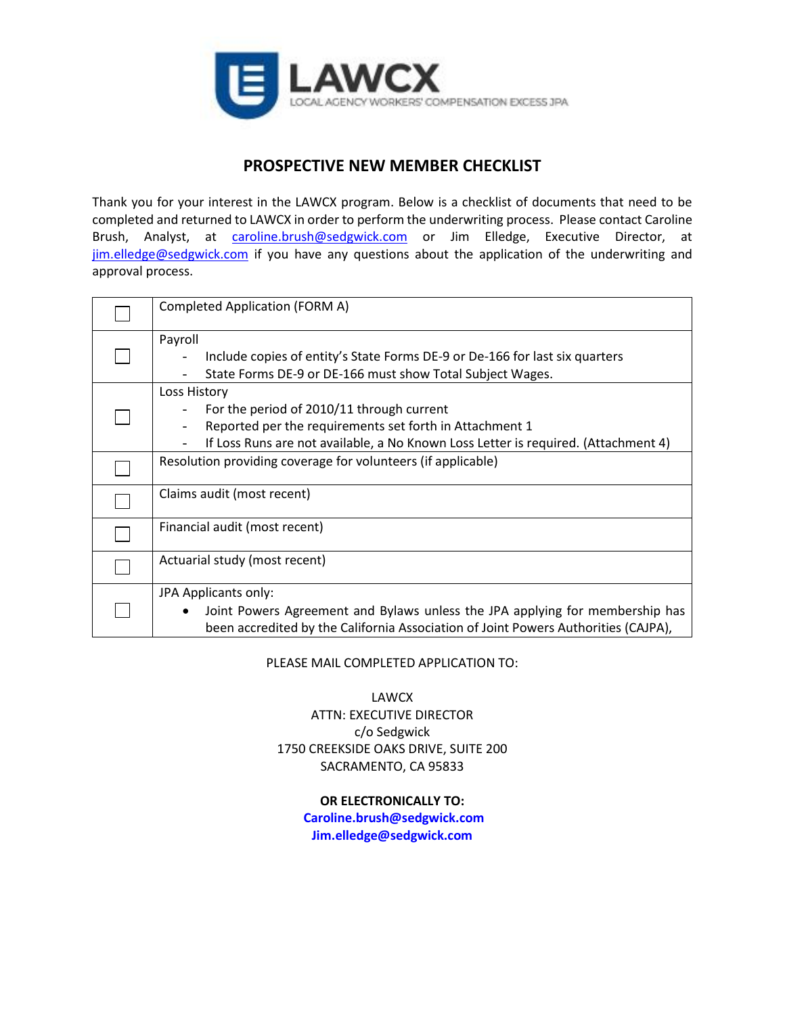

# **PROSPECTIVE NEW MEMBER CHECKLIST**

Thank you for your interest in the LAWCX program. Below is a checklist of documents that need to be completed and returned to LAWCX in order to perform the underwriting process. Please contact Caroline Brush, Analyst, at **[caroline.brush@sedgwick.com](mailto:caroline.brush@sedgwick.com)** or Jim Elledge, Executive Director, at [jim.elledge@sedgwick.com](mailto:jim.elledge@sedgwick.com) if you have any questions about the application of the underwriting and approval process.

| Completed Application (FORM A)                                                                                                                                                                             |
|------------------------------------------------------------------------------------------------------------------------------------------------------------------------------------------------------------|
| Payroll<br>Include copies of entity's State Forms DE-9 or De-166 for last six quarters<br>State Forms DE-9 or DE-166 must show Total Subject Wages.                                                        |
| Loss History<br>For the period of 2010/11 through current<br>Reported per the requirements set forth in Attachment 1<br>If Loss Runs are not available, a No Known Loss Letter is required. (Attachment 4) |
| Resolution providing coverage for volunteers (if applicable)                                                                                                                                               |
| Claims audit (most recent)                                                                                                                                                                                 |
| Financial audit (most recent)                                                                                                                                                                              |
| Actuarial study (most recent)                                                                                                                                                                              |
| JPA Applicants only:<br>Joint Powers Agreement and Bylaws unless the JPA applying for membership has<br>٠<br>been accredited by the California Association of Joint Powers Authorities (CAJPA),            |

PLEASE MAIL COMPLETED APPLICATION TO:

LAWCX ATTN: EXECUTIVE DIRECTOR c/o Sedgwick 1750 CREEKSIDE OAKS DRIVE, SUITE 200 SACRAMENTO, CA 95833

#### **OR ELECTRONICALLY TO:**

**Caroline.brush@sedgwick.com Jim.elledge@sedgwick.com**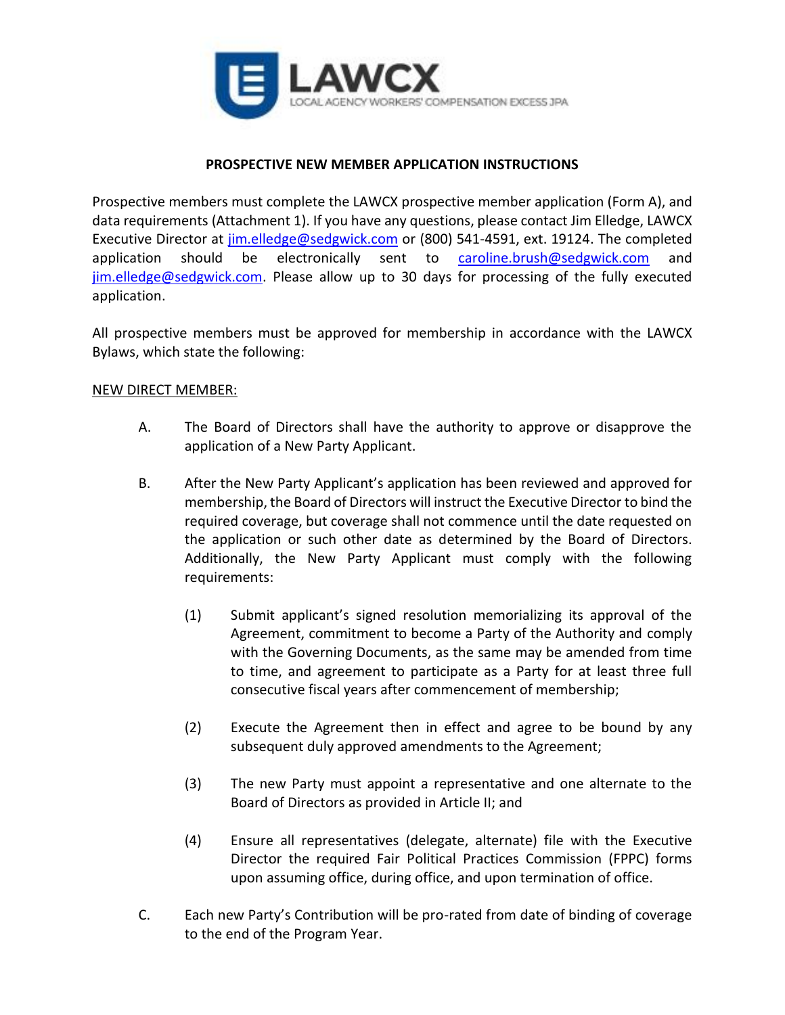

### **PROSPECTIVE NEW MEMBER APPLICATION INSTRUCTIONS**

Prospective members must complete the LAWCX prospective member application (Form A), and data requirements (Attachment 1). If you have any questions, please contact Jim Elledge, LAWCX Executive Director at [jim.elledge@sedgwick.com](mailto:jim.elledge@sedgwick.com) or (800) 541-4591, ext. 19124. The completed application should be electronically sent to [caroline.brush@sedgwick.com](mailto:caroline.brush@sedgwick.com) and [jim.elledge@sedgwick.com.](mailto:jim.elledge@sedgwick.com) Please allow up to 30 days for processing of the fully executed application.

All prospective members must be approved for membership in accordance with the LAWCX Bylaws, which state the following:

### NEW DIRECT MEMBER:

- A. The Board of Directors shall have the authority to approve or disapprove the application of a New Party Applicant.
- B. After the New Party Applicant's application has been reviewed and approved for membership, the Board of Directors will instruct the Executive Director to bind the required coverage, but coverage shall not commence until the date requested on the application or such other date as determined by the Board of Directors. Additionally, the New Party Applicant must comply with the following requirements:
	- (1) Submit applicant's signed resolution memorializing its approval of the Agreement, commitment to become a Party of the Authority and comply with the Governing Documents, as the same may be amended from time to time, and agreement to participate as a Party for at least three full consecutive fiscal years after commencement of membership;
	- (2) Execute the Agreement then in effect and agree to be bound by any subsequent duly approved amendments to the Agreement;
	- (3) The new Party must appoint a representative and one alternate to the Board of Directors as provided in Article II; and
	- (4) Ensure all representatives (delegate, alternate) file with the Executive Director the required Fair Political Practices Commission (FPPC) forms upon assuming office, during office, and upon termination of office.
- C. Each new Party's Contribution will be pro-rated from date of binding of coverage to the end of the Program Year.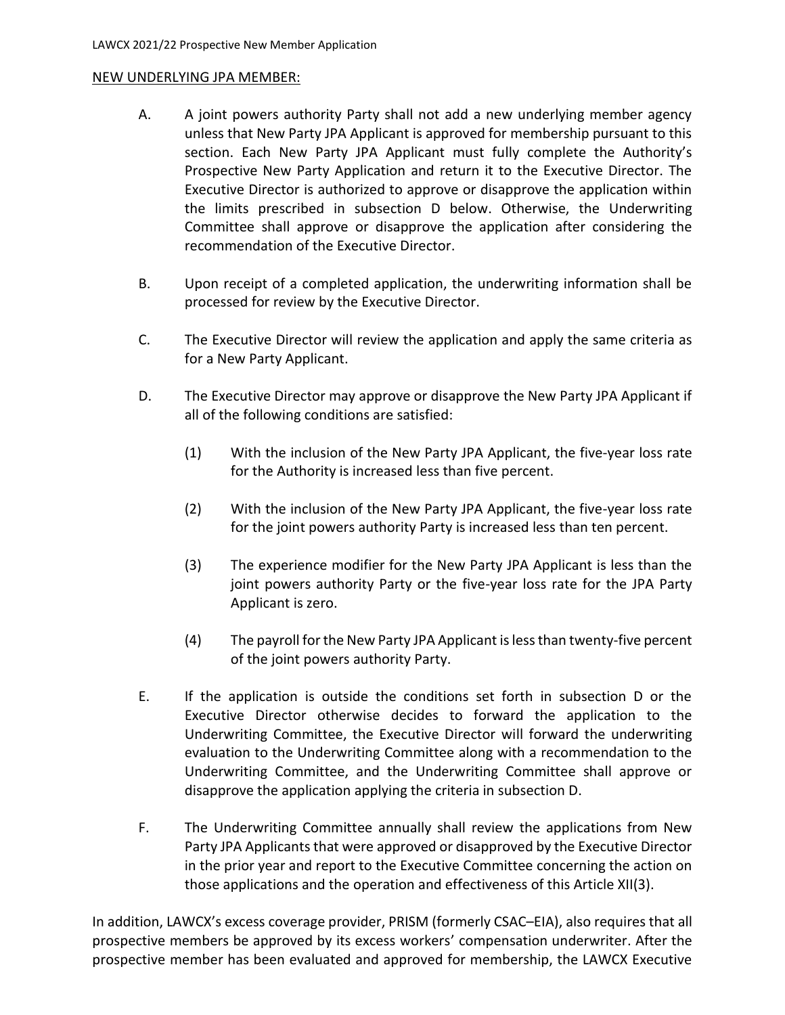#### NEW UNDERLYING JPA MEMBER:

- A. A joint powers authority Party shall not add a new underlying member agency unless that New Party JPA Applicant is approved for membership pursuant to this section. Each New Party JPA Applicant must fully complete the Authority's Prospective New Party Application and return it to the Executive Director. The Executive Director is authorized to approve or disapprove the application within the limits prescribed in subsection D below. Otherwise, the Underwriting Committee shall approve or disapprove the application after considering the recommendation of the Executive Director.
- B. Upon receipt of a completed application, the underwriting information shall be processed for review by the Executive Director.
- C. The Executive Director will review the application and apply the same criteria as for a New Party Applicant.
- D. The Executive Director may approve or disapprove the New Party JPA Applicant if all of the following conditions are satisfied:
	- (1) With the inclusion of the New Party JPA Applicant, the five-year loss rate for the Authority is increased less than five percent.
	- (2) With the inclusion of the New Party JPA Applicant, the five-year loss rate for the joint powers authority Party is increased less than ten percent.
	- (3) The experience modifier for the New Party JPA Applicant is less than the joint powers authority Party or the five-year loss rate for the JPA Party Applicant is zero.
	- (4) The payroll for the New Party JPA Applicant is less than twenty-five percent of the joint powers authority Party.
- E. If the application is outside the conditions set forth in subsection D or the Executive Director otherwise decides to forward the application to the Underwriting Committee, the Executive Director will forward the underwriting evaluation to the Underwriting Committee along with a recommendation to the Underwriting Committee, and the Underwriting Committee shall approve or disapprove the application applying the criteria in subsection D.
- F. The Underwriting Committee annually shall review the applications from New Party JPA Applicants that were approved or disapproved by the Executive Director in the prior year and report to the Executive Committee concerning the action on those applications and the operation and effectiveness of this Article XII(3).

In addition, LAWCX's excess coverage provider, PRISM (formerly CSAC–EIA), also requires that all prospective members be approved by its excess workers' compensation underwriter. After the prospective member has been evaluated and approved for membership, the LAWCX Executive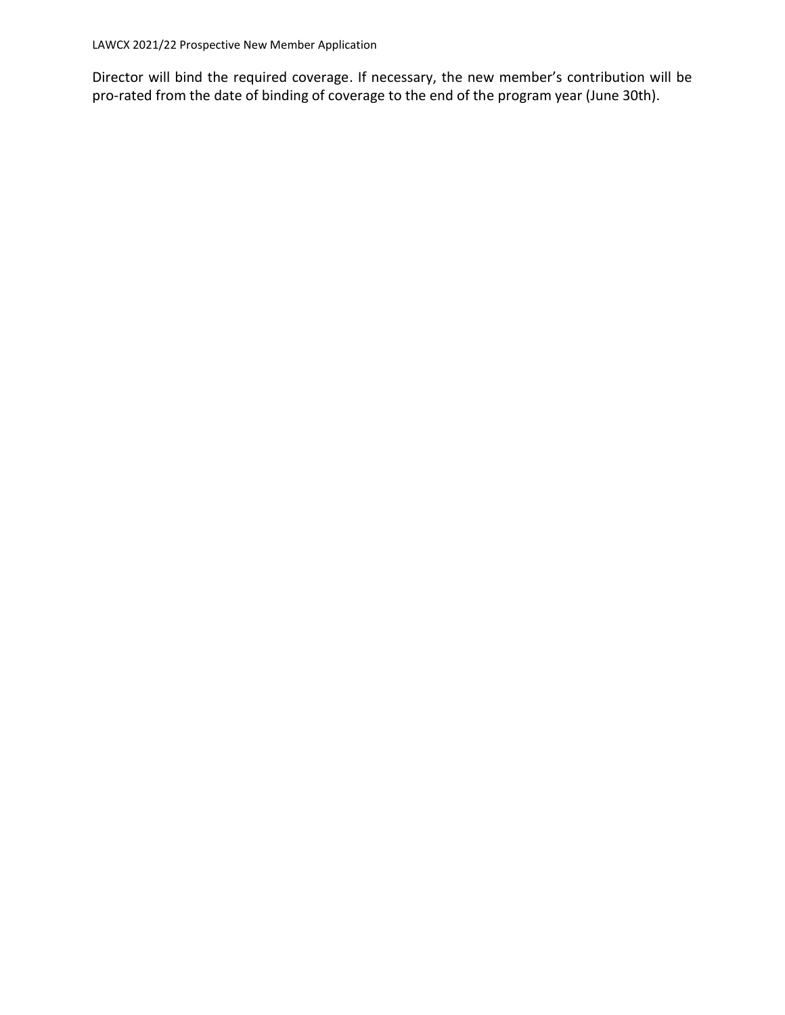LAWCX 2021/22 Prospective New Member Application

Director will bind the required coverage. If necessary, the new member's contribution will be pro-rated from the date of binding of coverage to the end of the program year (June 30th).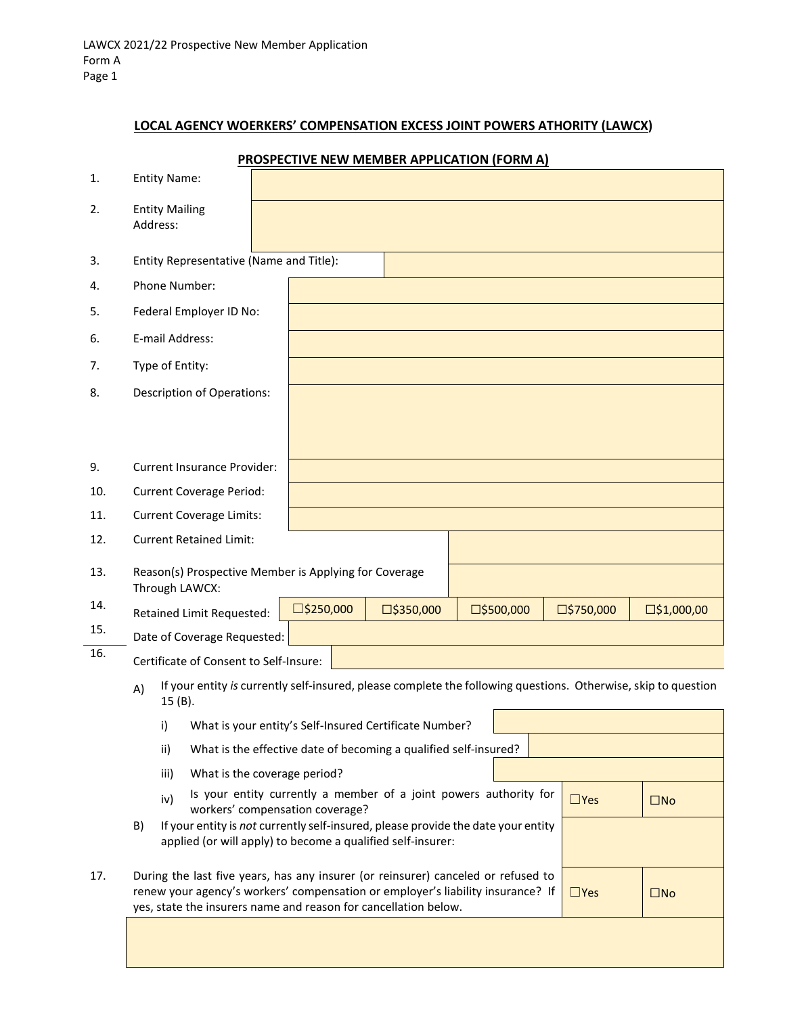## **LOCAL AGENCY WOERKERS' COMPENSATION EXCESS JOINT POWERS ATHORITY (LAWCX)**

|     |                                                                                                                                                        | <b>PROSPECTIVE NEW MEMBER APPLICATION (FORM A)</b>                                                                                                                                                                                                                       |  |  |  |
|-----|--------------------------------------------------------------------------------------------------------------------------------------------------------|--------------------------------------------------------------------------------------------------------------------------------------------------------------------------------------------------------------------------------------------------------------------------|--|--|--|
| 1.  | <b>Entity Name:</b>                                                                                                                                    |                                                                                                                                                                                                                                                                          |  |  |  |
| 2.  | <b>Entity Mailing</b><br>Address:                                                                                                                      |                                                                                                                                                                                                                                                                          |  |  |  |
| 3.  | Entity Representative (Name and Title):                                                                                                                |                                                                                                                                                                                                                                                                          |  |  |  |
| 4.  | Phone Number:                                                                                                                                          |                                                                                                                                                                                                                                                                          |  |  |  |
| 5.  | Federal Employer ID No:                                                                                                                                |                                                                                                                                                                                                                                                                          |  |  |  |
| 6.  | E-mail Address:                                                                                                                                        |                                                                                                                                                                                                                                                                          |  |  |  |
| 7.  | Type of Entity:                                                                                                                                        |                                                                                                                                                                                                                                                                          |  |  |  |
| 8.  | <b>Description of Operations:</b>                                                                                                                      |                                                                                                                                                                                                                                                                          |  |  |  |
| 9.  | <b>Current Insurance Provider:</b>                                                                                                                     |                                                                                                                                                                                                                                                                          |  |  |  |
| 10. | <b>Current Coverage Period:</b>                                                                                                                        |                                                                                                                                                                                                                                                                          |  |  |  |
| 11. | <b>Current Coverage Limits:</b>                                                                                                                        |                                                                                                                                                                                                                                                                          |  |  |  |
| 12. | <b>Current Retained Limit:</b>                                                                                                                         |                                                                                                                                                                                                                                                                          |  |  |  |
| 13. | Reason(s) Prospective Member is Applying for Coverage<br>Through LAWCX:                                                                                |                                                                                                                                                                                                                                                                          |  |  |  |
| 14. | Retained Limit Requested:                                                                                                                              | $\square$ \$250,000<br>□\$500,000<br>$\square$ \$1,000,00<br>$\square$ \$350,000<br>$\square$ \$750,000                                                                                                                                                                  |  |  |  |
| 15. | Date of Coverage Requested:                                                                                                                            |                                                                                                                                                                                                                                                                          |  |  |  |
| 16. | Certificate of Consent to Self-Insure:                                                                                                                 |                                                                                                                                                                                                                                                                          |  |  |  |
|     | A)<br>15 (B).                                                                                                                                          | If your entity is currently self-insured, please complete the following questions. Otherwise, skip to question                                                                                                                                                           |  |  |  |
|     | i)                                                                                                                                                     | What is your entity's Self-Insured Certificate Number?                                                                                                                                                                                                                   |  |  |  |
|     | ii)<br>What is the effective date of becoming a qualified self-insured?                                                                                |                                                                                                                                                                                                                                                                          |  |  |  |
|     | What is the coverage period?<br>iii)                                                                                                                   |                                                                                                                                                                                                                                                                          |  |  |  |
|     | iv)                                                                                                                                                    | Is your entity currently a member of a joint powers authority for<br>$\square$ Yes<br>$\square$ No<br>workers' compensation coverage?                                                                                                                                    |  |  |  |
|     | If your entity is not currently self-insured, please provide the date your entity<br>B)<br>applied (or will apply) to become a qualified self-insurer: |                                                                                                                                                                                                                                                                          |  |  |  |
| 17. |                                                                                                                                                        | During the last five years, has any insurer (or reinsurer) canceled or refused to<br>renew your agency's workers' compensation or employer's liability insurance? If<br>$\square$ Yes<br>$\square$ No<br>yes, state the insurers name and reason for cancellation below. |  |  |  |

# **PROSPECTIVE NEW MEMBER APPLICATION (FORM A)**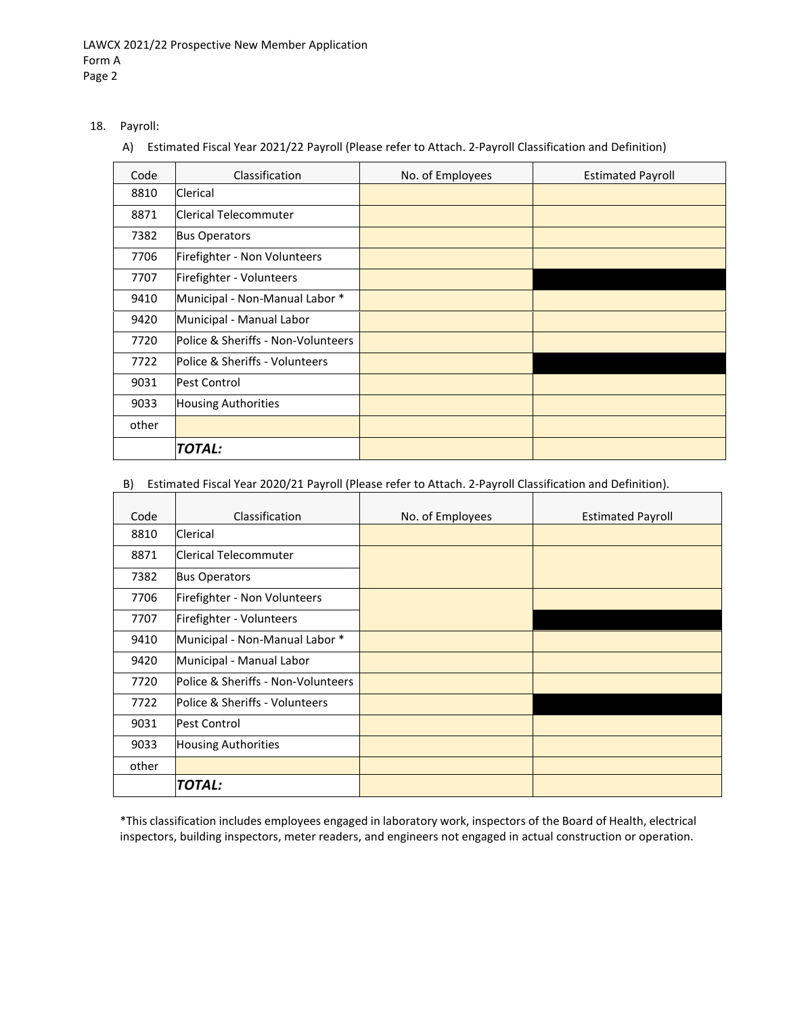- 18. Payroll:
	- A) Estimated Fiscal Year 2021/22 Payroll (Please refer to Attach. 2-Payroll Classification and Definition)

| Code  | Classification                     | No. of Employees | <b>Estimated Payroll</b> |
|-------|------------------------------------|------------------|--------------------------|
| 8810  | Clerical                           |                  |                          |
| 8871  | Clerical Telecommuter              |                  |                          |
| 7382  | <b>Bus Operators</b>               |                  |                          |
| 7706  | Firefighter - Non Volunteers       |                  |                          |
| 7707  | Firefighter - Volunteers           |                  |                          |
| 9410  | Municipal - Non-Manual Labor *     |                  |                          |
| 9420  | Municipal - Manual Labor           |                  |                          |
| 7720  | Police & Sheriffs - Non-Volunteers |                  |                          |
| 7722  | Police & Sheriffs - Volunteers     |                  |                          |
| 9031  | <b>Pest Control</b>                |                  |                          |
| 9033  | <b>Housing Authorities</b>         |                  |                          |
| other |                                    |                  |                          |
|       | <b>TOTAL:</b>                      |                  |                          |

# B) Estimated Fiscal Year 2020/21 Payroll (Please refer to Attach. 2-Payroll Classification and Definition).

| Code  | Classification                            | No. of Employees | <b>Estimated Payroll</b> |
|-------|-------------------------------------------|------------------|--------------------------|
| 8810  | Clerical                                  |                  |                          |
| 8871  | Clerical Telecommuter                     |                  |                          |
| 7382  | <b>Bus Operators</b>                      |                  |                          |
| 7706  | Firefighter - Non Volunteers              |                  |                          |
| 7707  | Firefighter - Volunteers                  |                  |                          |
| 9410  | Municipal - Non-Manual Labor *            |                  |                          |
| 9420  | Municipal - Manual Labor                  |                  |                          |
| 7720  | Police & Sheriffs - Non-Volunteers        |                  |                          |
| 7722  | <b>Police &amp; Sheriffs - Volunteers</b> |                  |                          |
| 9031  | <b>Pest Control</b>                       |                  |                          |
| 9033  | <b>Housing Authorities</b>                |                  |                          |
| other |                                           |                  |                          |
|       | TOTAL:                                    |                  |                          |

\*This classification includes employees engaged in laboratory work, inspectors of the Board of Health, electrical inspectors, building inspectors, meter readers, and engineers not engaged in actual construction or operation.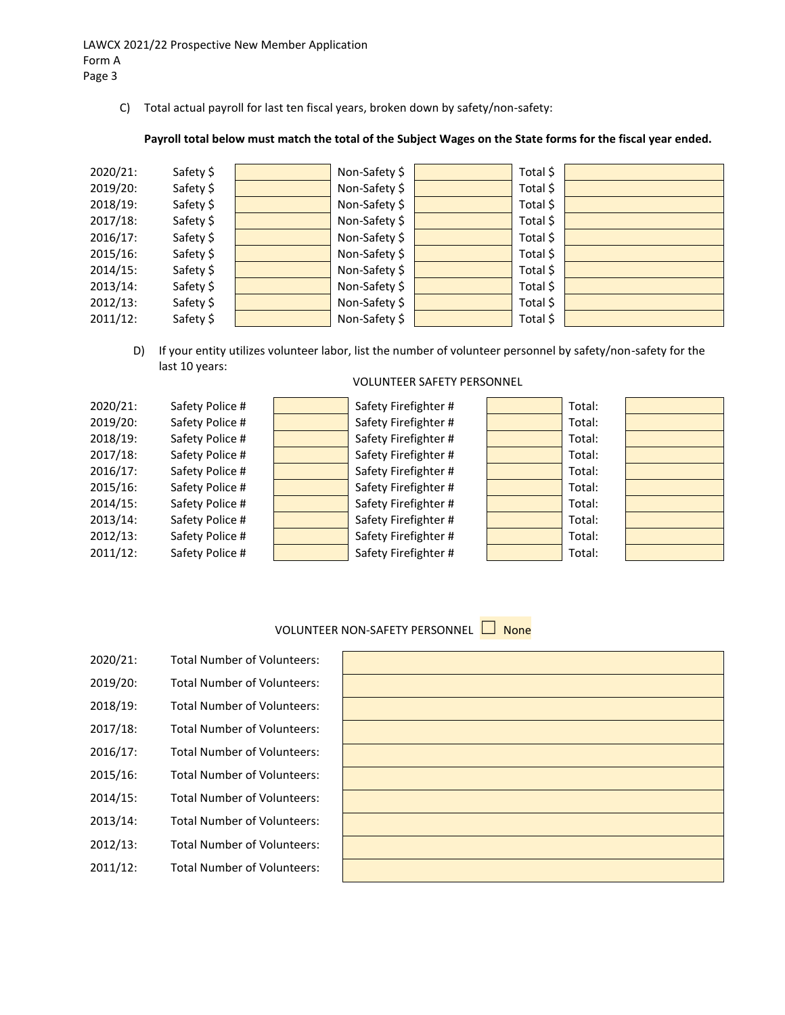C) Total actual payroll for last ten fiscal years, broken down by safety/non-safety:

#### **Payroll total below must match the total of the Subject Wages on the State forms for the fiscal year ended.**

| 2020/21:    | Safety \$ | Non-Safety \$ | Total \$ |  |
|-------------|-----------|---------------|----------|--|
| 2019/20:    | Safety \$ | Non-Safety \$ | Total \$ |  |
| 2018/19:    | Safety \$ | Non-Safety \$ | Total \$ |  |
| 2017/18:    | Safety \$ | Non-Safety \$ | Total \$ |  |
| 2016/17:    | Safety \$ | Non-Safety \$ | Total \$ |  |
| 2015/16:    | Safety \$ | Non-Safety \$ | Total \$ |  |
| 2014/15:    | Safety \$ | Non-Safety \$ | Total \$ |  |
| 2013/14:    | Safety \$ | Non-Safety \$ | Total \$ |  |
| 2012/13:    | Safety \$ | Non-Safety \$ | Total \$ |  |
| $2011/12$ : | Safety \$ | Non-Safety \$ | Total \$ |  |
|             |           |               |          |  |

D) If your entity utilizes volunteer labor, list the number of volunteer personnel by safety/non-safety for the last 10 years:

| 2020/21:    | Safety Police # | Safety Firefighter # | Total: |  |
|-------------|-----------------|----------------------|--------|--|
| 2019/20:    | Safety Police # | Safety Firefighter # | Total: |  |
| 2018/19:    | Safety Police # | Safety Firefighter # | Total: |  |
| $2017/18$ : | Safety Police # | Safety Firefighter # | Total: |  |
| 2016/17:    | Safety Police # | Safety Firefighter # | Total: |  |
| $2015/16$ : | Safety Police # | Safety Firefighter # | Total: |  |
| 2014/15:    | Safety Police # | Safety Firefighter # | Total: |  |
| 2013/14:    | Safety Police # | Safety Firefighter # | Total: |  |
| $2012/13$ : | Safety Police # | Safety Firefighter # | Total: |  |
| $2011/12$ : | Safety Police # | Safety Firefighter # | Total: |  |
|             |                 |                      |        |  |

#### VOLUNTEER SAFETY PERSONNEL

# VOLUNTEER NON-SAFETY PERSONNEL □ None

| 2020/21: | <b>Total Number of Volunteers:</b> |
|----------|------------------------------------|
| 2019/20: | <b>Total Number of Volunteers:</b> |
| 2018/19: | <b>Total Number of Volunteers:</b> |
| 2017/18: | <b>Total Number of Volunteers:</b> |
| 2016/17: | <b>Total Number of Volunteers:</b> |
| 2015/16: | <b>Total Number of Volunteers:</b> |
| 2014/15: | <b>Total Number of Volunteers:</b> |
| 2013/14: | <b>Total Number of Volunteers:</b> |
| 2012/13: | <b>Total Number of Volunteers:</b> |
| 2011/12: | <b>Total Number of Volunteers:</b> |

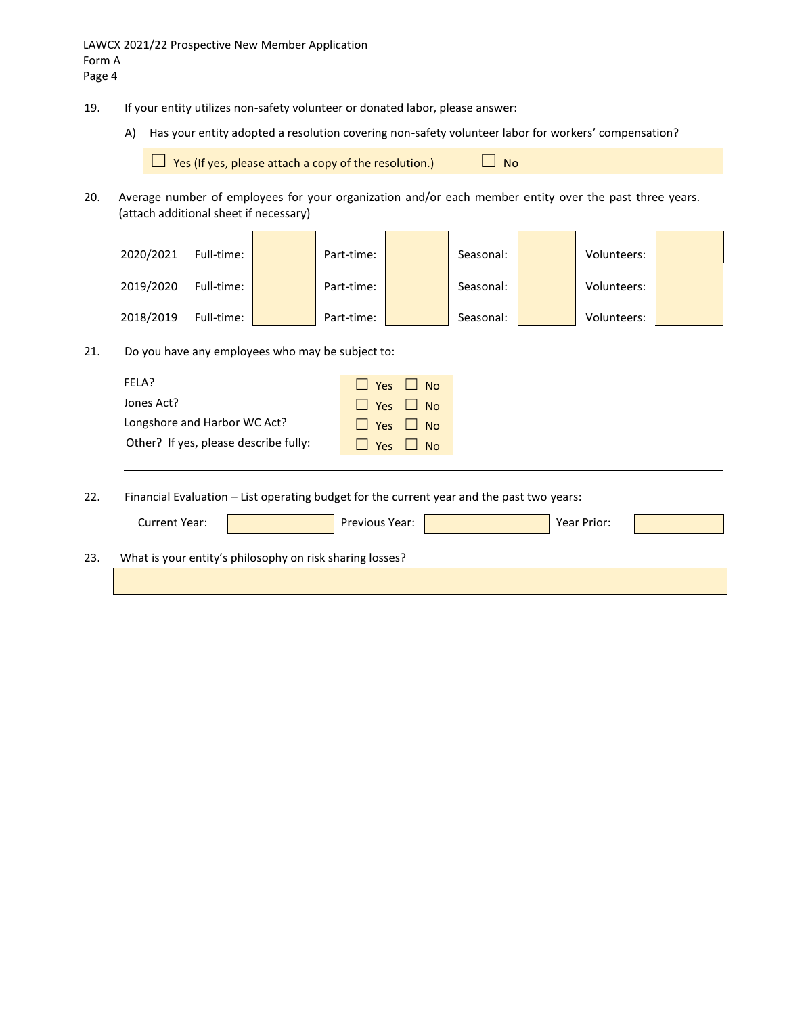- 19. If your entity utilizes non-safety volunteer or donated labor, please answer:
	- A) Has your entity adopted a resolution covering non-safety volunteer labor for workers' compensation?

 $□$  Yes (If yes, please attach a copy of the resolution.)  $□$  No

20. Average number of employees for your organization and/or each member entity over the past three years. (attach additional sheet if necessary)

| 2020/2021 | Full-time: | Part-time: | Seasonal: | Volunteers: |  |
|-----------|------------|------------|-----------|-------------|--|
| 2019/2020 | Full-time: | Part-time: | Seasonal: | Volunteers: |  |
| 2018/2019 | Full-time: | Part-time: | Seasonal: | Volunteers: |  |

21. Do you have any employees who may be subject to:

| Jones Act?<br>Yes<br>N <sub>0</sub><br><u> 14</u>                |
|------------------------------------------------------------------|
|                                                                  |
| Longshore and Harbor WC Act?<br>Yes $\Box$ No                    |
| Other? If yes, please describe fully:<br><b>No</b><br><b>Yes</b> |

22. Financial Evaluation – List operating budget for the current year and the past two years:

|     | Current Year:                                            | Previous Year: | Year Prior: |  |
|-----|----------------------------------------------------------|----------------|-------------|--|
| 23. | What is your entity's philosophy on risk sharing losses? |                |             |  |
|     |                                                          |                |             |  |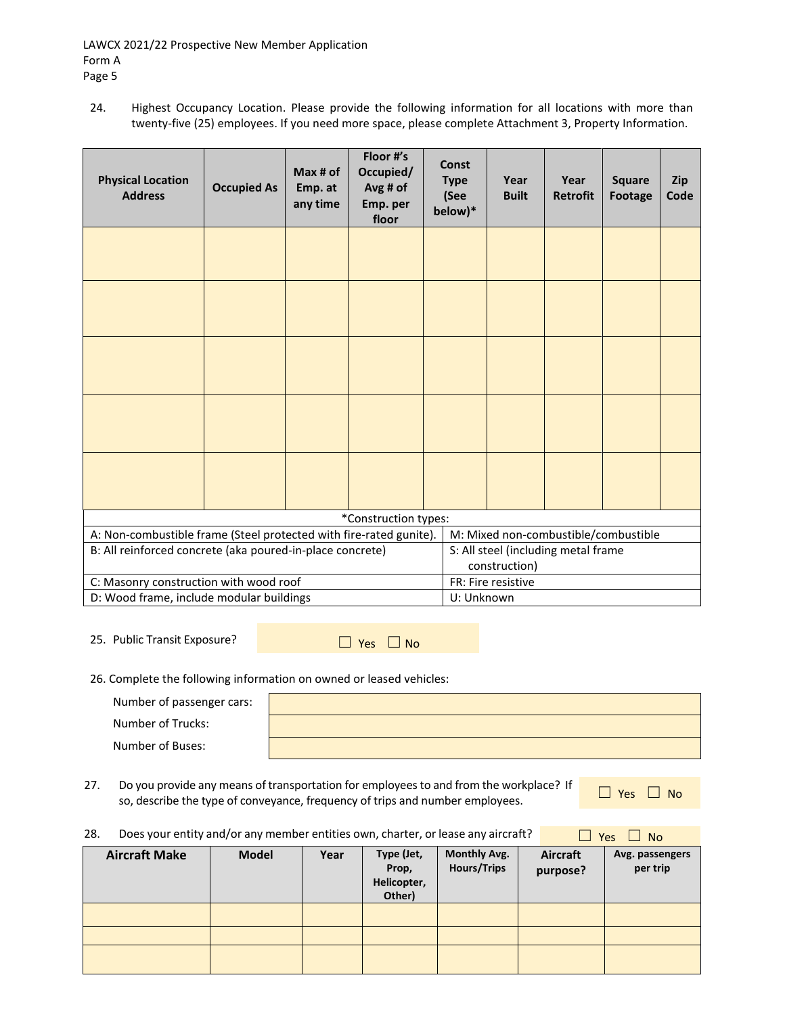24. Highest Occupancy Location. Please provide the following information for all locations with more than twenty-five (25) employees. If you need more space, please complete Attachment 3, Property Information.

| <b>Physical Location</b><br><b>Address</b>                         | <b>Occupied As</b> | Max # of<br>Emp. at<br>any time | Floor #'s<br>Occupied/<br>Avg # of<br>Emp. per<br>floor | <b>Const</b><br><b>Type</b><br>(See<br>below)* | Year<br><b>Built</b>                                 | Year<br><b>Retrofit</b> | <b>Square</b><br>Footage | Zip<br>Code |
|--------------------------------------------------------------------|--------------------|---------------------------------|---------------------------------------------------------|------------------------------------------------|------------------------------------------------------|-------------------------|--------------------------|-------------|
|                                                                    |                    |                                 |                                                         |                                                |                                                      |                         |                          |             |
|                                                                    |                    |                                 |                                                         |                                                |                                                      |                         |                          |             |
|                                                                    |                    |                                 |                                                         |                                                |                                                      |                         |                          |             |
|                                                                    |                    |                                 |                                                         |                                                |                                                      |                         |                          |             |
|                                                                    |                    |                                 |                                                         |                                                |                                                      |                         |                          |             |
| *Construction types:                                               |                    |                                 |                                                         |                                                |                                                      |                         |                          |             |
| A: Non-combustible frame (Steel protected with fire-rated gunite). |                    |                                 |                                                         |                                                | M: Mixed non-combustible/combustible                 |                         |                          |             |
| B: All reinforced concrete (aka poured-in-place concrete)          |                    |                                 |                                                         |                                                | S: All steel (including metal frame<br>construction) |                         |                          |             |
| C: Masonry construction with wood roof                             |                    |                                 |                                                         |                                                | FR: Fire resistive                                   |                         |                          |             |
| D: Wood frame, include modular buildings                           |                    |                                 |                                                         | U: Unknown                                     |                                                      |                         |                          |             |

25. Public Transit Exposure? ☐ Yes ☐ No

26. Complete the following information on owned or leased vehicles:

| Number of passenger cars: |  |
|---------------------------|--|
| Number of Trucks:         |  |
| Number of Buses:          |  |

27. Do you provide any means of transportation for employees to and from the workplace? If Do you provide any means of transportation for employees to and from the workplace? If  $\Box$  Yes  $\Box$  No so, describe the type of conveyance, frequency of trips and number employees.

| Does your entity and/or any member entities own, charter, or lease any aircraft?<br>28.<br>$\Box$ No<br>Yes |              |      |                                              |                                           |                      |                             |  |
|-------------------------------------------------------------------------------------------------------------|--------------|------|----------------------------------------------|-------------------------------------------|----------------------|-----------------------------|--|
| <b>Aircraft Make</b>                                                                                        | <b>Model</b> | Year | Type (Jet,<br>Prop,<br>Helicopter,<br>Other) | <b>Monthly Avg.</b><br><b>Hours/Trips</b> | Aircraft<br>purpose? | Avg. passengers<br>per trip |  |
|                                                                                                             |              |      |                                              |                                           |                      |                             |  |
|                                                                                                             |              |      |                                              |                                           |                      |                             |  |
|                                                                                                             |              |      |                                              |                                           |                      |                             |  |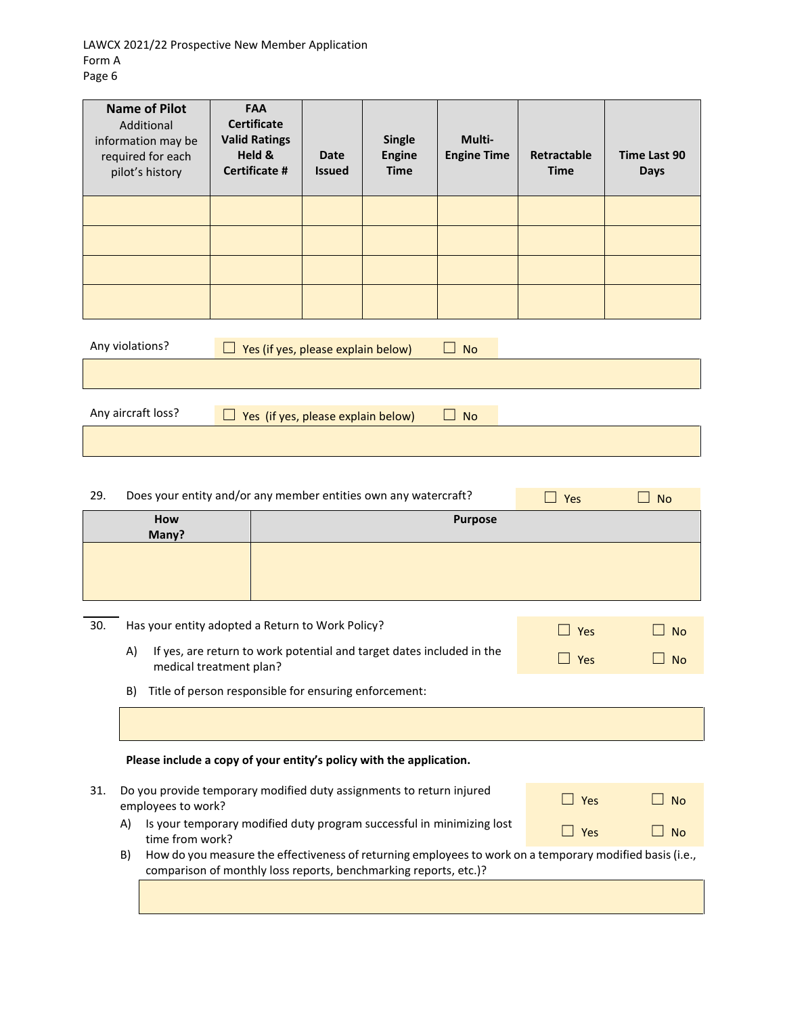LAWCX 2021/22 Prospective New Member Application Form A Page 6

| <b>Name of Pilot</b><br>Additional<br>information may be<br>required for each<br>pilot's history | <b>FAA</b><br><b>Certificate</b><br><b>Valid Ratings</b><br>Held &<br><b>Certificate #</b> | <b>Date</b><br><b>Issued</b> | <b>Single</b><br><b>Engine</b><br><b>Time</b> | Multi-<br><b>Engine Time</b> | Retractable<br><b>Time</b> | Time Last 90<br><b>Days</b> |
|--------------------------------------------------------------------------------------------------|--------------------------------------------------------------------------------------------|------------------------------|-----------------------------------------------|------------------------------|----------------------------|-----------------------------|
|                                                                                                  |                                                                                            |                              |                                               |                              |                            |                             |
|                                                                                                  |                                                                                            |                              |                                               |                              |                            |                             |
|                                                                                                  |                                                                                            |                              |                                               |                              |                            |                             |
|                                                                                                  |                                                                                            |                              |                                               |                              |                            |                             |
| Any violations?                                                                                  | Yes (if yes, please explain below)<br>$\Box$                                               |                              |                                               | <b>No</b>                    |                            |                             |
|                                                                                                  |                                                                                            |                              |                                               |                              |                            |                             |
| Any aircraft loss?                                                                               | Yes (if yes, please explain below)                                                         |                              |                                               | <b>No</b>                    |                            |                             |
|                                                                                                  |                                                                                            |                              |                                               |                              |                            |                             |

| 29. | Does your entity and/or any member entities own any watercraft? |                         |                                                                                                                                                                              | Yes           | <b>No</b> |
|-----|-----------------------------------------------------------------|-------------------------|------------------------------------------------------------------------------------------------------------------------------------------------------------------------------|---------------|-----------|
|     |                                                                 | <b>How</b><br>Many?     | <b>Purpose</b>                                                                                                                                                               |               |           |
|     |                                                                 |                         |                                                                                                                                                                              |               |           |
| 30. |                                                                 |                         | Has your entity adopted a Return to Work Policy?                                                                                                                             | Yes<br>$\Box$ | <b>No</b> |
|     | A)                                                              | medical treatment plan? | If yes, are return to work potential and target dates included in the                                                                                                        | Yes           | <b>No</b> |
|     | B)                                                              |                         | Title of person responsible for ensuring enforcement:                                                                                                                        |               |           |
|     |                                                                 |                         |                                                                                                                                                                              |               |           |
|     |                                                                 |                         | Please include a copy of your entity's policy with the application.                                                                                                          |               |           |
| 31. |                                                                 | employees to work?      | Do you provide temporary modified duty assignments to return injured                                                                                                         | $\Box$ Yes    | <b>No</b> |
|     | A)                                                              | time from work?         | Is your temporary modified duty program successful in minimizing lost                                                                                                        | $\Box$ Yes    | <b>No</b> |
|     | B)                                                              |                         | How do you measure the effectiveness of returning employees to work on a temporary modified basis (i.e.,<br>comparison of monthly loss reports, benchmarking reports, etc.)? |               |           |
|     |                                                                 |                         |                                                                                                                                                                              |               |           |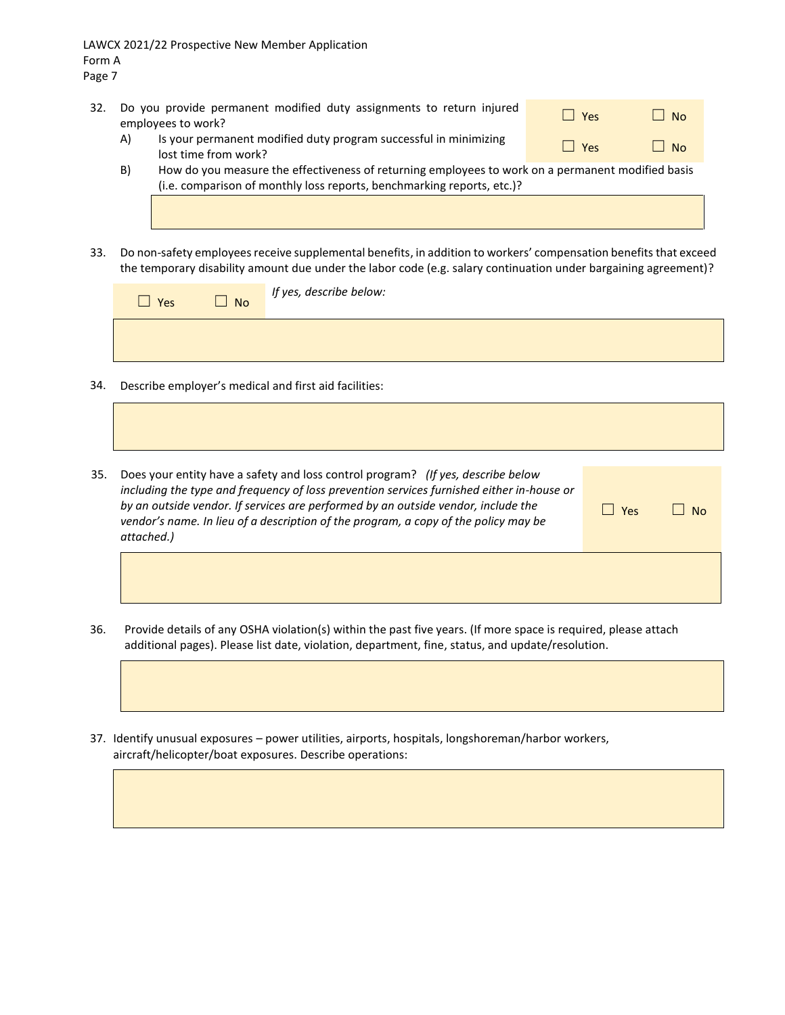LAWCX 2021/22 Prospective New Member Application Form A Page 7

- 32. Do you provide permanent modified duty assignments to return injured □ Yes □ No
	- A) Is your permanent modified duty program successful in minimizing  $\Box$  Yes  $\Box$  No
	- B) How do you measure the effectiveness of returning employees to work on a permanent modified basis (i.e. comparison of monthly loss reports, benchmarking reports, etc.)?
- 33. Do non-safety employees receive supplemental benefits, in addition to workers' compensation benefits that exceed the temporary disability amount due under the labor code (e.g. salary continuation under bargaining agreement)?

| Yes | $\Box$ No | If yes, describe below: |
|-----|-----------|-------------------------|
|     |           |                         |

- 34. Describe employer's medical and first aid facilities:
- 35. Does your entity have a safety and loss control program? *(If yes, describe below including the type and frequency of loss prevention services furnished either in-house or by an outside vendor. If services are performed by an outside vendor, include the vendor's name. In lieu of a description of the program, a copy of the policy may be attached.)*

| $\Box$ Yes | $\Box$ No |
|------------|-----------|
|            |           |

- 36. Provide details of any OSHA violation(s) within the past five years. (If more space is required, please attach additional pages). Please list date, violation, department, fine, status, and update/resolution.
- 37. Identify unusual exposures power utilities, airports, hospitals, longshoreman/harbor workers, aircraft/helicopter/boat exposures. Describe operations: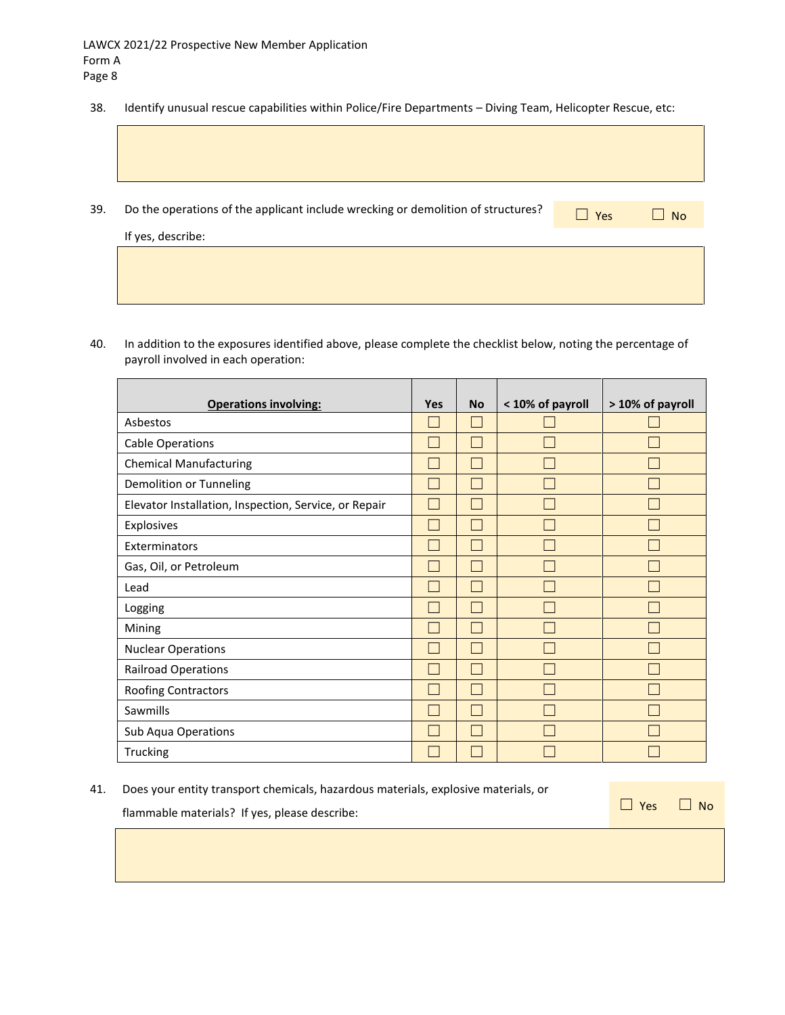38. Identify unusual rescue capabilities within Police/Fire Departments – Diving Team, Helicopter Rescue, etc:

| 39. | Do the operations of the applicant include wrecking or demolition of structures? | $\Box$ Yes | <b>No</b> |
|-----|----------------------------------------------------------------------------------|------------|-----------|
|     | If yes, describe:                                                                |            |           |
|     |                                                                                  |            |           |

40. In addition to the exposures identified above, please complete the checklist below, noting the percentage of payroll involved in each operation:

|                                                       | <b>Yes</b>     | <b>No</b> |                  |                  |
|-------------------------------------------------------|----------------|-----------|------------------|------------------|
| <b>Operations involving:</b>                          |                |           | < 10% of payroll | > 10% of payroll |
| Asbestos                                              | $\overline{a}$ |           |                  |                  |
| <b>Cable Operations</b>                               | L              |           |                  |                  |
| <b>Chemical Manufacturing</b>                         | I.             |           |                  |                  |
| Demolition or Tunneling                               | $\overline{a}$ |           |                  |                  |
| Elevator Installation, Inspection, Service, or Repair | $\overline{a}$ |           |                  |                  |
| Explosives                                            | $\overline{a}$ |           |                  |                  |
| Exterminators                                         | $\overline{a}$ |           |                  |                  |
| Gas, Oil, or Petroleum                                | $\overline{a}$ |           |                  |                  |
| Lead                                                  | $\overline{a}$ |           |                  |                  |
| Logging                                               | L              |           |                  |                  |
| Mining                                                | L              |           |                  |                  |
| <b>Nuclear Operations</b>                             | $\overline{a}$ | L.        |                  |                  |
| <b>Railroad Operations</b>                            | $\overline{a}$ | L.        |                  |                  |
| Roofing Contractors                                   | $\overline{a}$ | L.        |                  |                  |
| Sawmills                                              | $\overline{a}$ |           |                  |                  |
| Sub Aqua Operations                                   | L              |           |                  |                  |
| Trucking                                              |                |           |                  |                  |

41. Does your entity transport chemicals, hazardous materials, explosive materials, or

flammable materials? If yes, please describe:  $\Box$ 

| $]$ Yes | $\Box$ No |  |
|---------|-----------|--|
|---------|-----------|--|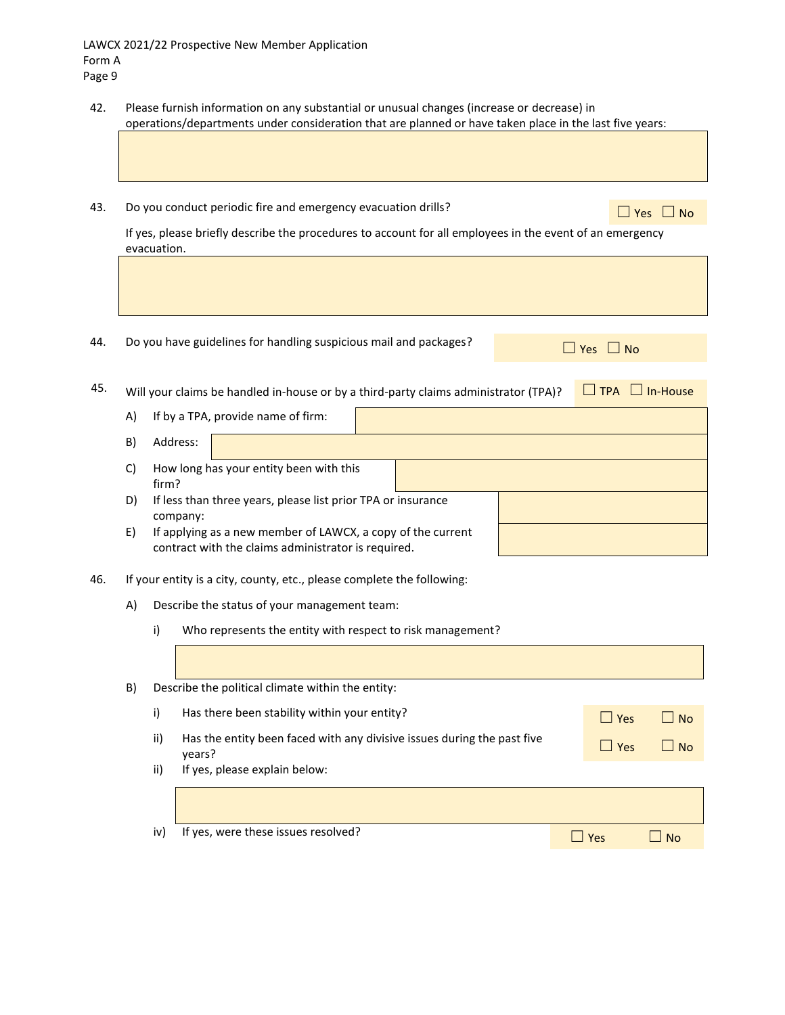- 42. Please furnish information on any substantial or unusual changes (increase or decrease) in operations/departments under consideration that are planned or have taken place in the last five years:
- 43. Do you conduct periodic fire and emergency evacuation drills?  $\Box$  Yes  $\Box$  Yes  $\Box$  No

If yes, please briefly describe the procedures to account for all employees in the event of an emergency evacuation.

44. Do you have guidelines for handling suspicious mail and packages?  $□$  Yes  $□$  No

45. Will your claims be handled in-house or by a third-party claims administrator (TPA)?  $\Box$  TPA  $\Box$  In-House

- A) If by a TPA, provide name of firm: B) Address: C) How long has your entity been with this firm? D) If less than three years, please list prior TPA or insurance company: E) If applying as a new member of LAWCX, a copy of the current contract with the claims administrator is required.
- 46. If your entity is a city, county, etc., please complete the following:
	- A) Describe the status of your management team:
		- i) Who represents the entity with respect to risk management?

| B) |     | Describe the political climate within the entity:                                 |            |                             |
|----|-----|-----------------------------------------------------------------------------------|------------|-----------------------------|
|    | i)  | Has there been stability within your entity?                                      | $\Box$ Yes | l I No                      |
|    | ii) | Has the entity been faced with any divisive issues during the past five<br>years? | $\Box$ Yes | $\overline{\phantom{a}}$ No |
|    | ii) | If yes, please explain below:                                                     |            |                             |
|    |     |                                                                                   |            |                             |
|    | iv) | If yes, were these issues resolved?                                               | l l Yes    | l No                        |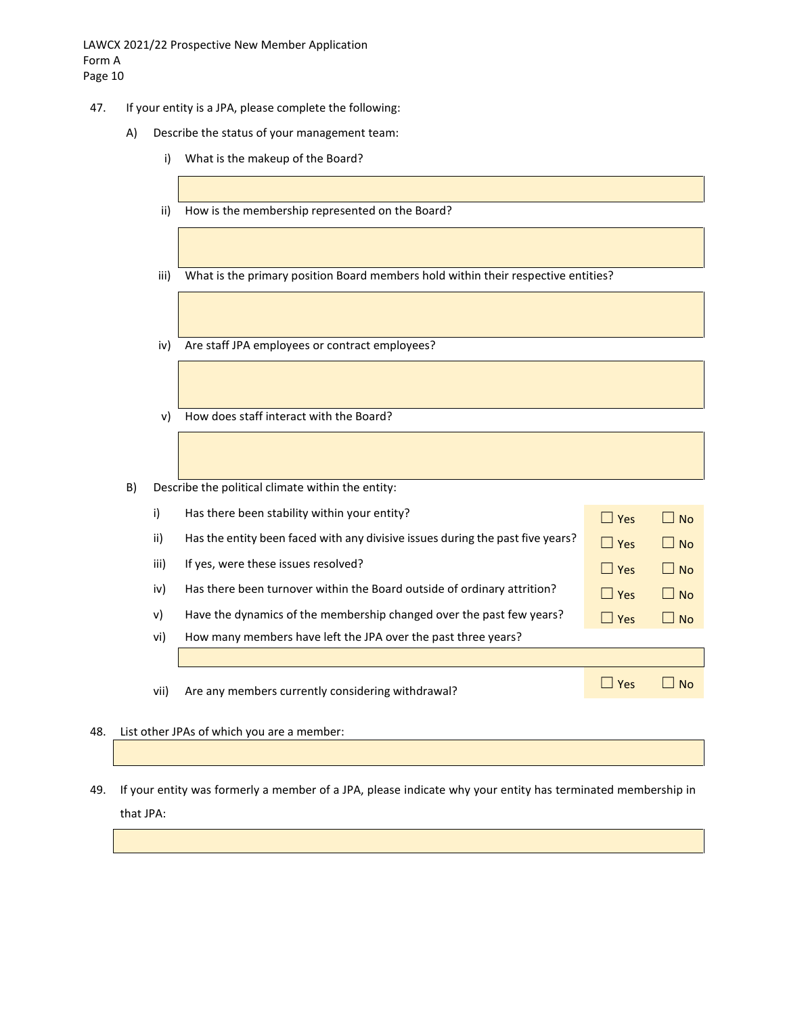- 47. If your entity is a JPA, please complete the following:
	- A) Describe the status of your management team:
		- i) What is the makeup of the Board?
		- ii) How is the membership represented on the Board?
		- iii) What is the primary position Board members hold within their respective entities?
		- iv) Are staff JPA employees or contract employees?
		- v) How does staff interact with the Board?
	- B) Describe the political climate within the entity:

| i)   | Has there been stability within your entity?                                   | $\Box$ Yes | $\Box$ No          |
|------|--------------------------------------------------------------------------------|------------|--------------------|
| ii)  | Has the entity been faced with any divisive issues during the past five years? | $\Box$ Yes | l INo              |
| iii) | If yes, were these issues resolved?                                            | $ $ Yes    | l I No             |
| iv)  | Has there been turnover within the Board outside of ordinary attrition?        | $\Box$ Yes | $\vert$ $\vert$ No |
| v)   | Have the dynamics of the membership changed over the past few years?           | $\Box$ Yes | $\Box$ No          |
| vi)  | How many members have left the JPA over the past three years?                  |            |                    |
|      |                                                                                |            |                    |
| vii) | Are any members currently considering withdrawal?                              | $\Box$ Yes | No.                |
|      |                                                                                |            |                    |

- 48. List other JPAs of which you are a member:
- 49. If your entity was formerly a member of a JPA, please indicate why your entity has terminated membership in that JPA: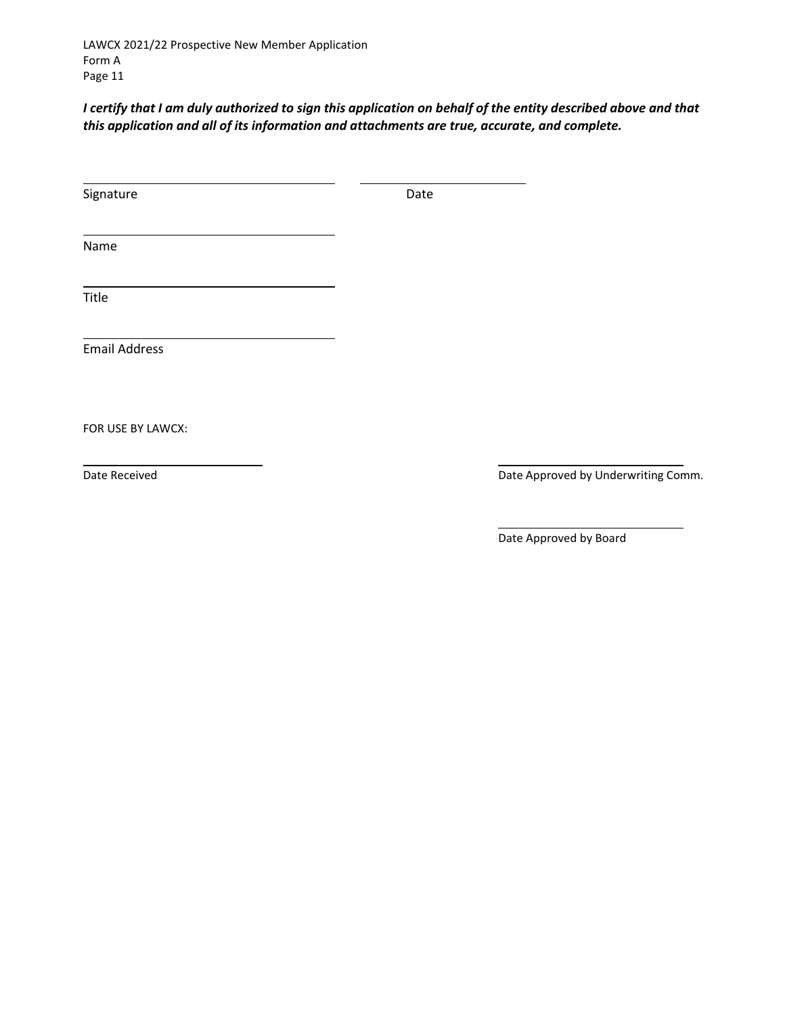LAWCX 2021/22 Prospective New Member Application Form A Page 11

*I certify that I am duly authorized to sign this application on behalf of the entity described above and that this application and all of its information and attachments are true, accurate, and complete.*

| Signature            | Date |                                     |
|----------------------|------|-------------------------------------|
| Name                 |      |                                     |
|                      |      |                                     |
| Title                |      |                                     |
| <b>Email Address</b> |      |                                     |
| FOR USE BY LAWCX:    |      |                                     |
| Date Received        |      | Date Approved by Underwriting Comm. |
|                      |      |                                     |

Date Approved by Board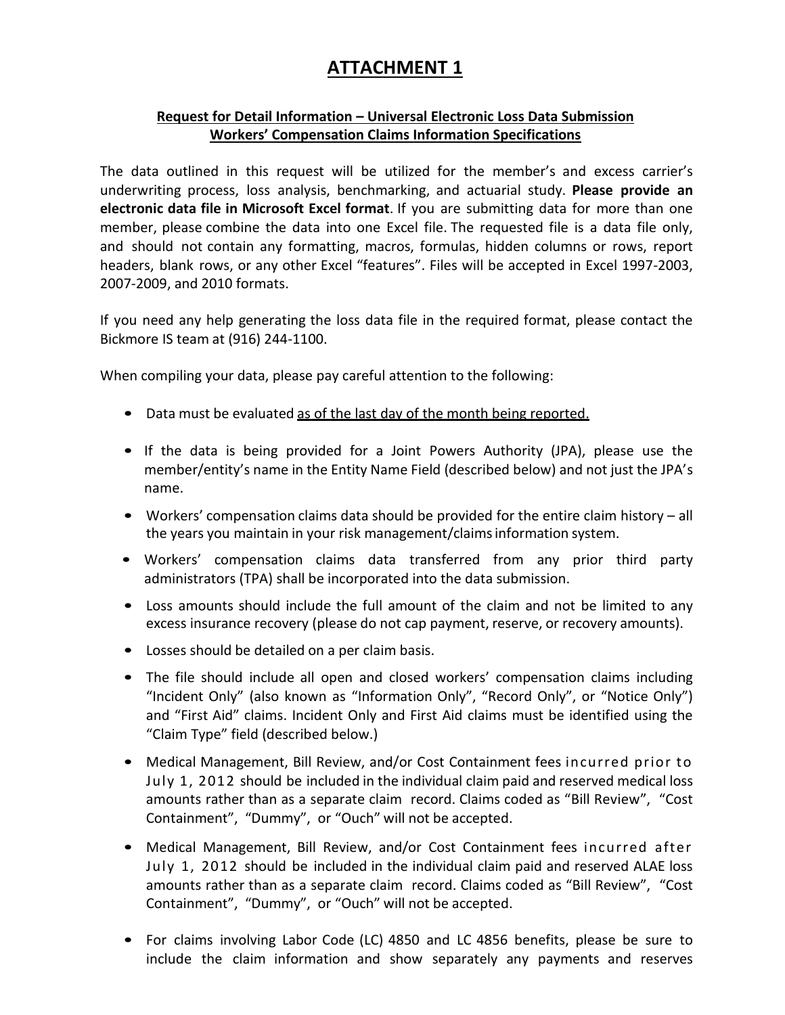# **ATTACHMENT 1**

# **Request for Detail Information – Universal Electronic Loss Data Submission Workers' Compensation Claims Information Specifications**

The data outlined in this request will be utilized for the member's and excess carrier's underwriting process, loss analysis, benchmarking, and actuarial study. **Please provide an electronic data file in Microsoft Excel format**. If you are submitting data for more than one member, please combine the data into one Excel file. The requested file is a data file only, and should not contain any formatting, macros, formulas, hidden columns or rows, report headers, blank rows, or any other Excel "features". Files will be accepted in Excel 1997-2003, 2007-2009, and 2010 formats.

If you need any help generating the loss data file in the required format, please contact the Bickmore IS team at (916) 244-1100.

When compiling your data, please pay careful attention to the following:

- Data must be evaluated as of the last day of the month being reported.
- If the data is being provided for a Joint Powers Authority (JPA), please use the member/entity's name in the Entity Name Field (described below) and not just the JPA's name.
- Workers' compensation claims data should be provided for the entire claim history all the years you maintain in your risk management/claimsinformation system.
- Workers' compensation claims data transferred from any prior third party administrators (TPA) shall be incorporated into the data submission.
- Loss amounts should include the full amount of the claim and not be limited to any excess insurance recovery (please do not cap payment, reserve, or recovery amounts).
- Losses should be detailed on a per claim basis.
- The file should include all open and closed workers' compensation claims including "Incident Only" (also known as "Information Only", "Record Only", or "Notice Only") and "First Aid" claims. Incident Only and First Aid claims must be identified using the "Claim Type" field (described below.)
- Medical Management, Bill Review, and/or Cost Containment fees incurred prior to July 1, 2012 should be included in the individual claim paid and reserved medical loss amounts rather than as a separate claim record. Claims coded as "Bill Review", "Cost Containment", "Dummy", or "Ouch" will not be accepted.
- Medical Management, Bill Review, and/or Cost Containment fees incurred after July 1, 2012 should be included in the individual claim paid and reserved ALAE loss amounts rather than as a separate claim record. Claims coded as "Bill Review", "Cost Containment", "Dummy", or "Ouch" will not be accepted.
- For claims involving Labor Code (LC) 4850 and LC 4856 benefits, please be sure to include the claim information and show separately any payments and reserves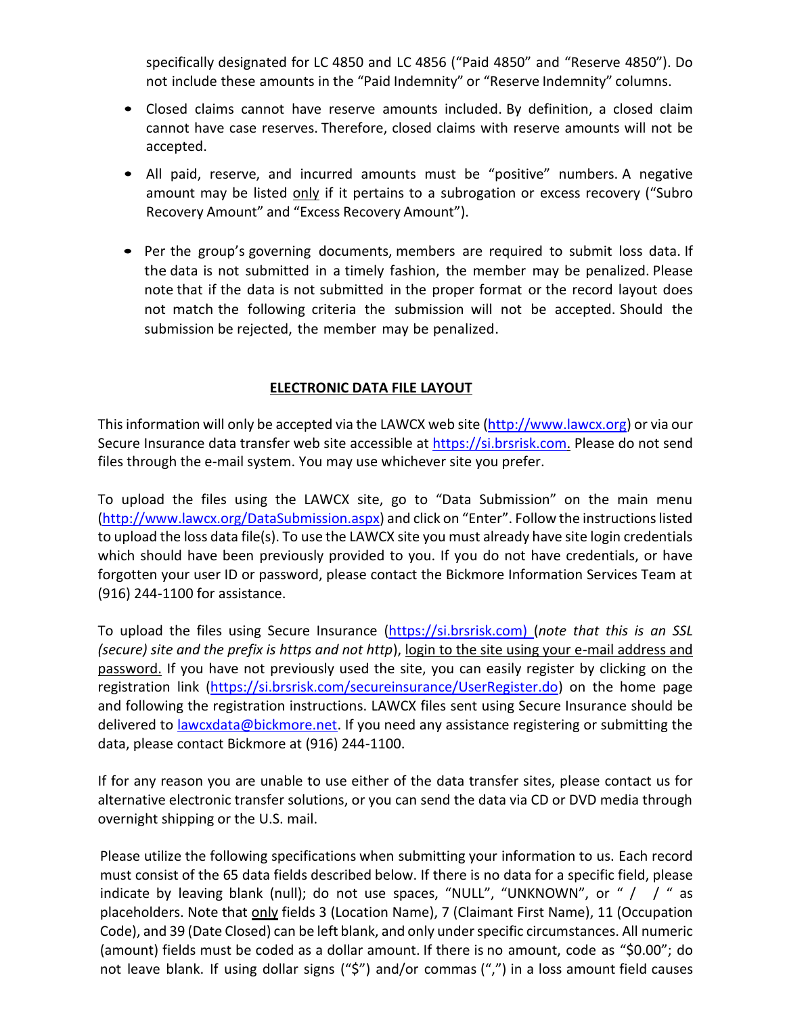specifically designated for LC 4850 and LC 4856 ("Paid 4850" and "Reserve 4850"). Do not include these amounts in the "Paid Indemnity" or "Reserve Indemnity" columns.

- Closed claims cannot have reserve amounts included. By definition, a closed claim cannot have case reserves. Therefore, closed claims with reserve amounts will not be accepted.
- All paid, reserve, and incurred amounts must be "positive" numbers. A negative amount may be listed only if it pertains to a subrogation or excess recovery ("Subro Recovery Amount" and "Excess Recovery Amount").
- Per the group's governing documents, members are required to submit loss data. If the data is not submitted in a timely fashion, the member may be penalized. Please note that if the data is not submitted in the proper format or the record layout does not match the following criteria the submission will not be accepted. Should the submission be rejected, the member may be penalized.

## **ELECTRONIC DATA FILE LAYOUT**

This information will only be accepted via the LAWCX web site [\(http://www.lawcx.org\)](http://www.lawcx.org/) or via our Secure Insurance data transfer web site accessible at [https://si.brsrisk.com.](https://si.brsrisk.com/) Please do not send files through the e-mail system. You may use whichever site you prefer.

To upload the files using the LAWCX site, go to "Data Submission" on the main menu [\(http://www.lawcx.org/DataSubmission.aspx](http://www.lawcx.org/DataSubmission.aspx)) and click on "Enter". Follow the instructions listed to upload the loss data file(s). To use the LAWCX site you must already have site login credentials which should have been previously provided to you. If you do not have credentials, or have forgotten your user ID or password, please contact the Bickmore Information Services Team at (916) 244-1100 for assistance.

To upload the files using Secure Insurance [\(https://si.brsrisk.com\)](https://si.brsrisk.com/) (*note that this is an SSL (secure) site and the prefix is https and not http*), login to the site using your e-mail address and password. If you have not previously used the site, you can easily register by clicking on the registration link [\(https://si.brsrisk.com/secureinsurance/UserRegister.do\)](https://si.brsrisk.com/secureinsurance/UserRegister.do) on the home page and following the registration instructions. LAWCX files sent using Secure Insurance should be delivered to <u>lawcxdata@bickmore.net</u>. If you need any assistance registering or submitting the data, please contact Bickmore at (916) 244-1100.

If for any reason you are unable to use either of the data transfer sites, please contact us for alternative electronic transfer solutions, or you can send the data via CD or DVD media through overnight shipping or the U.S. mail.

Please utilize the following specifications when submitting your information to us. Each record must consist of the 65 data fields described below. If there is no data for a specific field, please indicate by leaving blank (null); do not use spaces, "NULL", "UNKNOWN", or "  $/$   $/$  " as placeholders. Note that only fields 3 (Location Name), 7 (Claimant First Name), 11 (Occupation Code), and 39 (Date Closed) can be left blank, and only under specific circumstances. All numeric (amount) fields must be coded as a dollar amount. If there is no amount, code as "\$0.00"; do not leave blank. If using dollar signs ("\$") and/or commas (",") in a loss amount field causes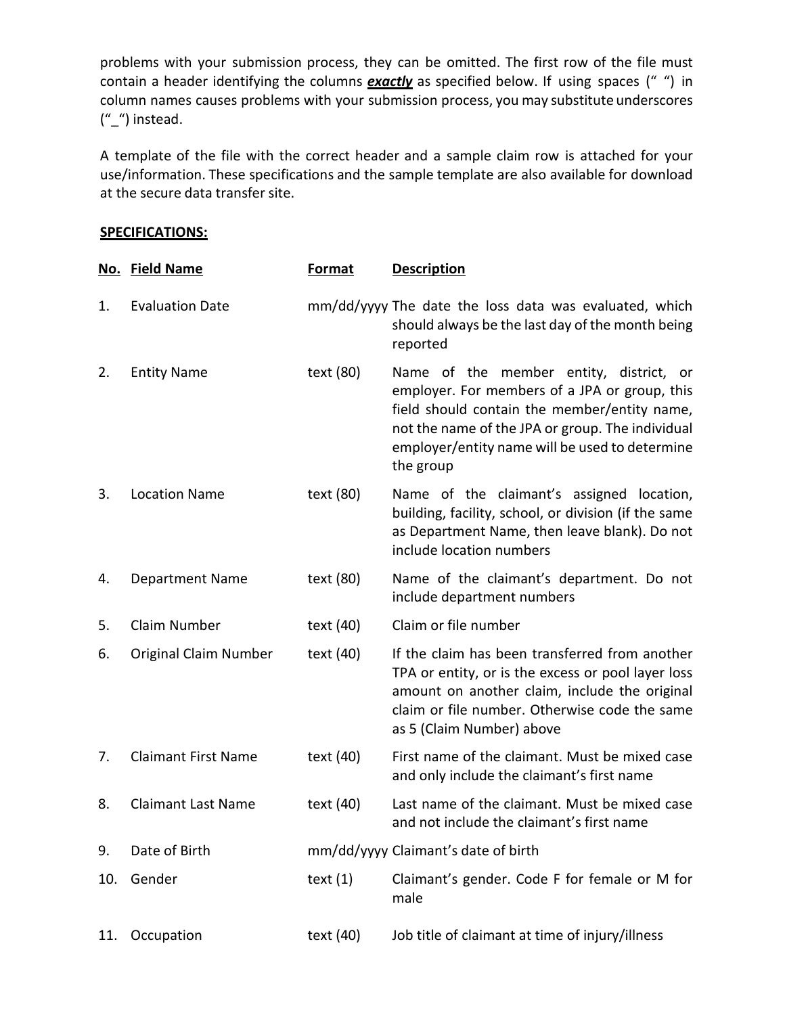problems with your submission process, they can be omitted. The first row of the file must contain a header identifying the columns *exactly* as specified below. If using spaces (" ") in column names causes problems with your submission process, you may substitute underscores ("\_") instead.

A template of the file with the correct header and a sample claim row is attached for your use/information. These specifications and the sample template are also available for download at the secure data transfer site.

## **SPECIFICATIONS:**

|     | No. Field Name               | <b>Format</b> | <b>Description</b>                                                                                                                                                                                                                                          |
|-----|------------------------------|---------------|-------------------------------------------------------------------------------------------------------------------------------------------------------------------------------------------------------------------------------------------------------------|
| 1.  | <b>Evaluation Date</b>       |               | mm/dd/yyyy The date the loss data was evaluated, which<br>should always be the last day of the month being<br>reported                                                                                                                                      |
| 2.  | <b>Entity Name</b>           | text (80)     | Name of the member entity, district, or<br>employer. For members of a JPA or group, this<br>field should contain the member/entity name,<br>not the name of the JPA or group. The individual<br>employer/entity name will be used to determine<br>the group |
| 3.  | <b>Location Name</b>         | text (80)     | Name of the claimant's assigned location,<br>building, facility, school, or division (if the same<br>as Department Name, then leave blank). Do not<br>include location numbers                                                                              |
| 4.  | <b>Department Name</b>       | text (80)     | Name of the claimant's department. Do not<br>include department numbers                                                                                                                                                                                     |
| 5.  | Claim Number                 | text (40)     | Claim or file number                                                                                                                                                                                                                                        |
| 6.  | <b>Original Claim Number</b> | text (40)     | If the claim has been transferred from another<br>TPA or entity, or is the excess or pool layer loss<br>amount on another claim, include the original<br>claim or file number. Otherwise code the same<br>as 5 (Claim Number) above                         |
| 7.  | <b>Claimant First Name</b>   | text (40)     | First name of the claimant. Must be mixed case<br>and only include the claimant's first name                                                                                                                                                                |
| 8.  | <b>Claimant Last Name</b>    | text (40)     | Last name of the claimant. Must be mixed case<br>and not include the claimant's first name                                                                                                                                                                  |
| 9.  | Date of Birth                |               | mm/dd/yyyy Claimant's date of birth                                                                                                                                                                                                                         |
| 10. | Gender                       | text $(1)$    | Claimant's gender. Code F for female or M for<br>male                                                                                                                                                                                                       |
| 11. | Occupation                   | text (40)     | Job title of claimant at time of injury/illness                                                                                                                                                                                                             |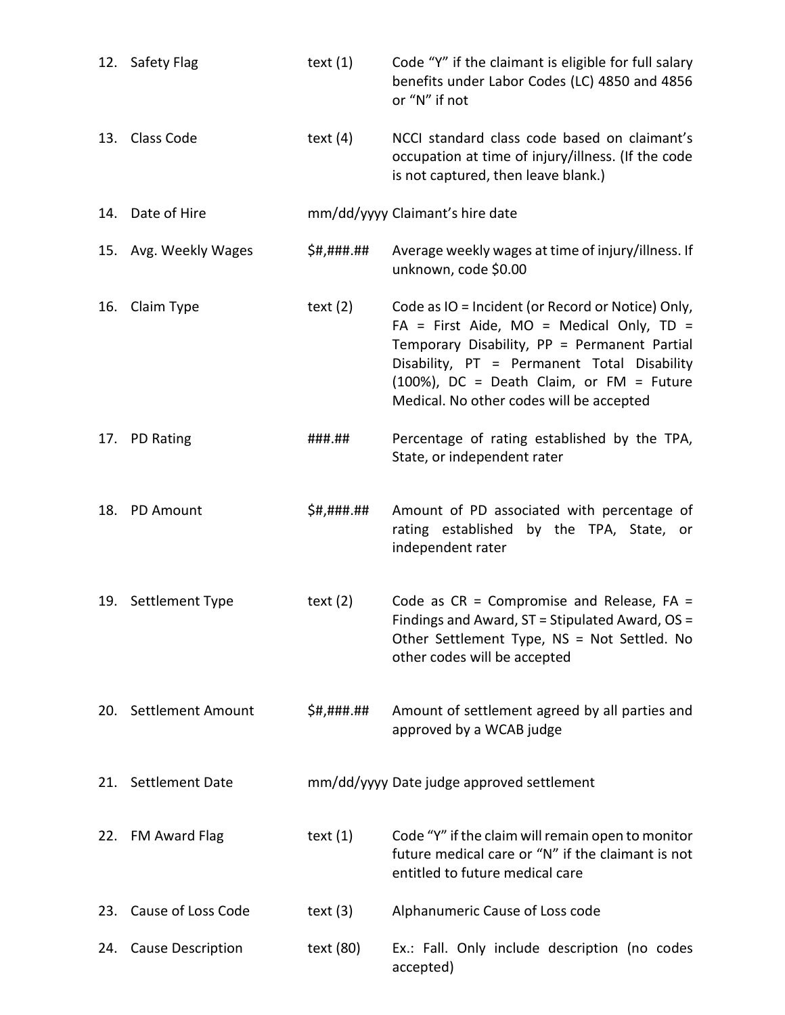|     | 12. Safety Flag          | text $(1)$ | Code "Y" if the claimant is eligible for full salary<br>benefits under Labor Codes (LC) 4850 and 4856<br>or "N" if not                                                                                                                                                                    |
|-----|--------------------------|------------|-------------------------------------------------------------------------------------------------------------------------------------------------------------------------------------------------------------------------------------------------------------------------------------------|
|     | 13. Class Code           | text $(4)$ | NCCI standard class code based on claimant's<br>occupation at time of injury/illness. (If the code<br>is not captured, then leave blank.)                                                                                                                                                 |
|     | 14. Date of Hire         |            | mm/dd/yyyy Claimant's hire date                                                                                                                                                                                                                                                           |
|     | 15. Avg. Weekly Wages    | \$#,###.## | Average weekly wages at time of injury/illness. If<br>unknown, code \$0.00                                                                                                                                                                                                                |
| 16. | Claim Type               | text $(2)$ | Code as IO = Incident (or Record or Notice) Only,<br>$FA = First$ Aide, MO = Medical Only, TD =<br>Temporary Disability, PP = Permanent Partial<br>Disability, PT = Permanent Total Disability<br>$(100%)$ , DC = Death Claim, or FM = Future<br>Medical. No other codes will be accepted |
|     | 17. PD Rating            | ###.##     | Percentage of rating established by the TPA,<br>State, or independent rater                                                                                                                                                                                                               |
| 18. | <b>PD Amount</b>         | \$#,###.## | Amount of PD associated with percentage of<br>rating established by the TPA, State, or<br>independent rater                                                                                                                                                                               |
|     | 19. Settlement Type      | text $(2)$ | Code as $CR = Compromise$ and Release, $FA =$<br>Findings and Award, ST = Stipulated Award, OS =<br>Other Settlement Type, NS = Not Settled. No<br>other codes will be accepted                                                                                                           |
|     | 20. Settlement Amount    | \$#,###.## | Amount of settlement agreed by all parties and<br>approved by a WCAB judge                                                                                                                                                                                                                |
|     | 21. Settlement Date      |            | mm/dd/yyyy Date judge approved settlement                                                                                                                                                                                                                                                 |
|     | 22. FM Award Flag        | text $(1)$ | Code "Y" if the claim will remain open to monitor<br>future medical care or "N" if the claimant is not<br>entitled to future medical care                                                                                                                                                 |
| 23. | Cause of Loss Code       | text $(3)$ | Alphanumeric Cause of Loss code                                                                                                                                                                                                                                                           |
| 24. | <b>Cause Description</b> | text (80)  | Ex.: Fall. Only include description (no codes<br>accepted)                                                                                                                                                                                                                                |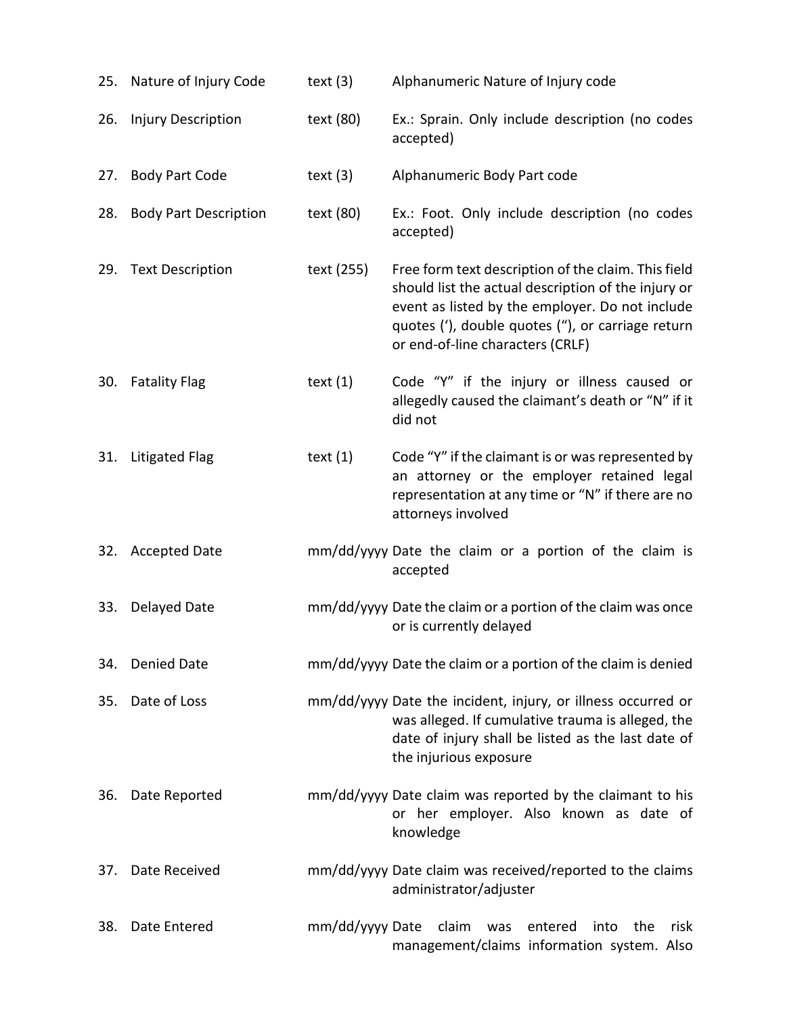| 25. | Nature of Injury Code        | text $(3)$      | Alphanumeric Nature of Injury code                                                                                                                                                                                                                     |
|-----|------------------------------|-----------------|--------------------------------------------------------------------------------------------------------------------------------------------------------------------------------------------------------------------------------------------------------|
| 26. | <b>Injury Description</b>    | text (80)       | Ex.: Sprain. Only include description (no codes<br>accepted)                                                                                                                                                                                           |
| 27. | <b>Body Part Code</b>        | text $(3)$      | Alphanumeric Body Part code                                                                                                                                                                                                                            |
| 28. | <b>Body Part Description</b> | text (80)       | Ex.: Foot. Only include description (no codes<br>accepted)                                                                                                                                                                                             |
| 29. | <b>Text Description</b>      | text (255)      | Free form text description of the claim. This field<br>should list the actual description of the injury or<br>event as listed by the employer. Do not include<br>quotes ('), double quotes ("), or carriage return<br>or end-of-line characters (CRLF) |
| 30. | <b>Fatality Flag</b>         | text $(1)$      | Code "Y" if the injury or illness caused or<br>allegedly caused the claimant's death or "N" if it<br>did not                                                                                                                                           |
| 31. | Litigated Flag               | text $(1)$      | Code "Y" if the claimant is or was represented by<br>an attorney or the employer retained legal<br>representation at any time or "N" if there are no<br>attorneys involved                                                                             |
| 32. | <b>Accepted Date</b>         |                 | mm/dd/yyyy Date the claim or a portion of the claim is<br>accepted                                                                                                                                                                                     |
| 33. | Delayed Date                 |                 | mm/dd/yyyy Date the claim or a portion of the claim was once<br>or is currently delayed                                                                                                                                                                |
| 34. | <b>Denied Date</b>           |                 | mm/dd/yyyy Date the claim or a portion of the claim is denied                                                                                                                                                                                          |
| 35. | Date of Loss                 |                 | mm/dd/yyyy Date the incident, injury, or illness occurred or<br>was alleged. If cumulative trauma is alleged, the<br>date of injury shall be listed as the last date of<br>the injurious exposure                                                      |
| 36. | Date Reported                |                 | mm/dd/yyyy Date claim was reported by the claimant to his<br>or her employer. Also known as date of<br>knowledge                                                                                                                                       |
| 37. | Date Received                |                 | mm/dd/yyyy Date claim was received/reported to the claims<br>administrator/adjuster                                                                                                                                                                    |
| 38. | Date Entered                 | mm/dd/yyyy Date | claim<br>entered<br>the<br>risk<br>was<br>into<br>management/claims information system. Also                                                                                                                                                           |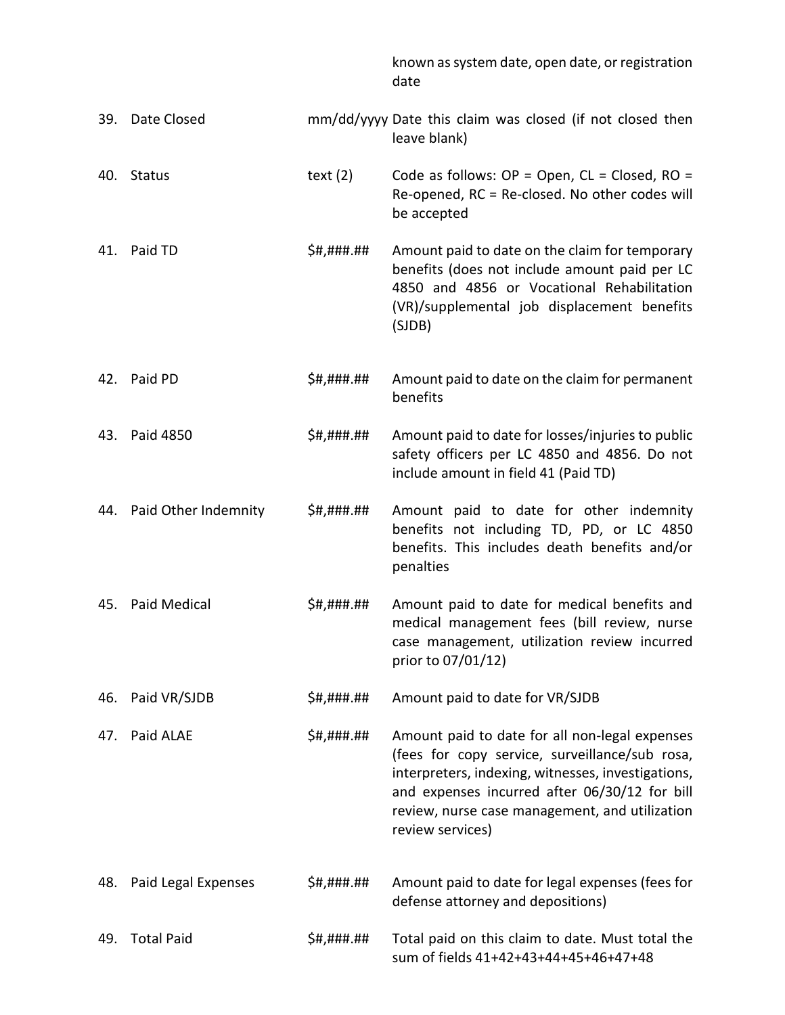|     |                          |            | known as system date, open date, or registration<br>date                                                                                                                                                                                                                      |
|-----|--------------------------|------------|-------------------------------------------------------------------------------------------------------------------------------------------------------------------------------------------------------------------------------------------------------------------------------|
| 39. | Date Closed              |            | mm/dd/yyyy Date this claim was closed (if not closed then<br>leave blank)                                                                                                                                                                                                     |
| 40. | <b>Status</b>            | text $(2)$ | Code as follows: $OP = Open$ , $CL = Closed$ , $RO =$<br>Re-opened, RC = Re-closed. No other codes will<br>be accepted                                                                                                                                                        |
| 41. | Paid TD                  | \$#,###.## | Amount paid to date on the claim for temporary<br>benefits (does not include amount paid per LC<br>4850 and 4856 or Vocational Rehabilitation<br>(VR)/supplemental job displacement benefits<br>(SJDB)                                                                        |
| 42. | Paid PD                  | \$#,###.## | Amount paid to date on the claim for permanent<br>benefits                                                                                                                                                                                                                    |
| 43. | Paid 4850                | \$#,###.## | Amount paid to date for losses/injuries to public<br>safety officers per LC 4850 and 4856. Do not<br>include amount in field 41 (Paid TD)                                                                                                                                     |
|     | 44. Paid Other Indemnity | \$#,###.## | Amount paid to date for other indemnity<br>benefits not including TD, PD, or LC 4850<br>benefits. This includes death benefits and/or<br>penalties                                                                                                                            |
| 45. | <b>Paid Medical</b>      | \$#,###.## | Amount paid to date for medical benefits and<br>medical management fees (bill review, nurse<br>case management, utilization review incurred<br>prior to 07/01/12)                                                                                                             |
| 46. | Paid VR/SJDB             | \$#,###.## | Amount paid to date for VR/SJDB                                                                                                                                                                                                                                               |
| 47. | Paid ALAE                | \$#,###.## | Amount paid to date for all non-legal expenses<br>(fees for copy service, surveillance/sub rosa,<br>interpreters, indexing, witnesses, investigations,<br>and expenses incurred after 06/30/12 for bill<br>review, nurse case management, and utilization<br>review services) |
| 48. | Paid Legal Expenses      | \$#,###.## | Amount paid to date for legal expenses (fees for<br>defense attorney and depositions)                                                                                                                                                                                         |
| 49. | <b>Total Paid</b>        | \$#,###.## | Total paid on this claim to date. Must total the<br>sum of fields 41+42+43+44+45+46+47+48                                                                                                                                                                                     |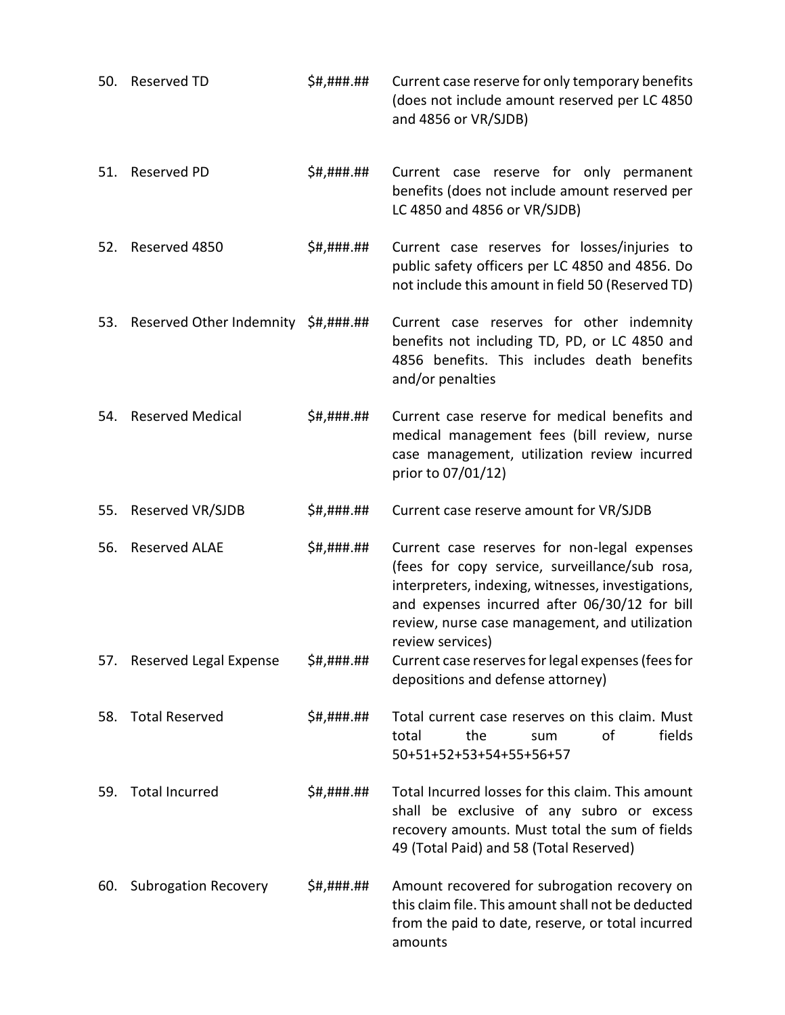| 50. | <b>Reserved TD</b>                  | \$#,###.## | Current case reserve for only temporary benefits<br>(does not include amount reserved per LC 4850<br>and 4856 or VR/SJDB)                                                                                                                                                   |
|-----|-------------------------------------|------------|-----------------------------------------------------------------------------------------------------------------------------------------------------------------------------------------------------------------------------------------------------------------------------|
| 51. | <b>Reserved PD</b>                  | \$#,###.## | Current case reserve for only permanent<br>benefits (does not include amount reserved per<br>LC 4850 and 4856 or VR/SJDB)                                                                                                                                                   |
| 52. | Reserved 4850                       | \$#,###.## | Current case reserves for losses/injuries to<br>public safety officers per LC 4850 and 4856. Do<br>not include this amount in field 50 (Reserved TD)                                                                                                                        |
| 53. | Reserved Other Indemnity \$#,###.## |            | Current case reserves for other indemnity<br>benefits not including TD, PD, or LC 4850 and<br>4856 benefits. This includes death benefits<br>and/or penalties                                                                                                               |
| 54. | <b>Reserved Medical</b>             | \$#,###.## | Current case reserve for medical benefits and<br>medical management fees (bill review, nurse<br>case management, utilization review incurred<br>prior to 07/01/12)                                                                                                          |
| 55. | Reserved VR/SJDB                    | \$#,###.## | Current case reserve amount for VR/SJDB                                                                                                                                                                                                                                     |
| 56. | <b>Reserved ALAE</b>                | \$#,###.## | Current case reserves for non-legal expenses<br>(fees for copy service, surveillance/sub rosa,<br>interpreters, indexing, witnesses, investigations,<br>and expenses incurred after 06/30/12 for bill<br>review, nurse case management, and utilization<br>review services) |
|     | 57. Reserved Legal Expense          | \$#,###.## | Current case reserves for legal expenses (fees for<br>depositions and defense attorney)                                                                                                                                                                                     |
| 58. | <b>Total Reserved</b>               | \$#,###.## | Total current case reserves on this claim. Must<br>of<br>fields<br>total<br>the<br>sum<br>50+51+52+53+54+55+56+57                                                                                                                                                           |
| 59. | <b>Total Incurred</b>               | \$#,###.## | Total Incurred losses for this claim. This amount<br>shall be exclusive of any subro or excess<br>recovery amounts. Must total the sum of fields<br>49 (Total Paid) and 58 (Total Reserved)                                                                                 |
| 60. | <b>Subrogation Recovery</b>         | \$#,###.## | Amount recovered for subrogation recovery on<br>this claim file. This amount shall not be deducted<br>from the paid to date, reserve, or total incurred<br>amounts                                                                                                          |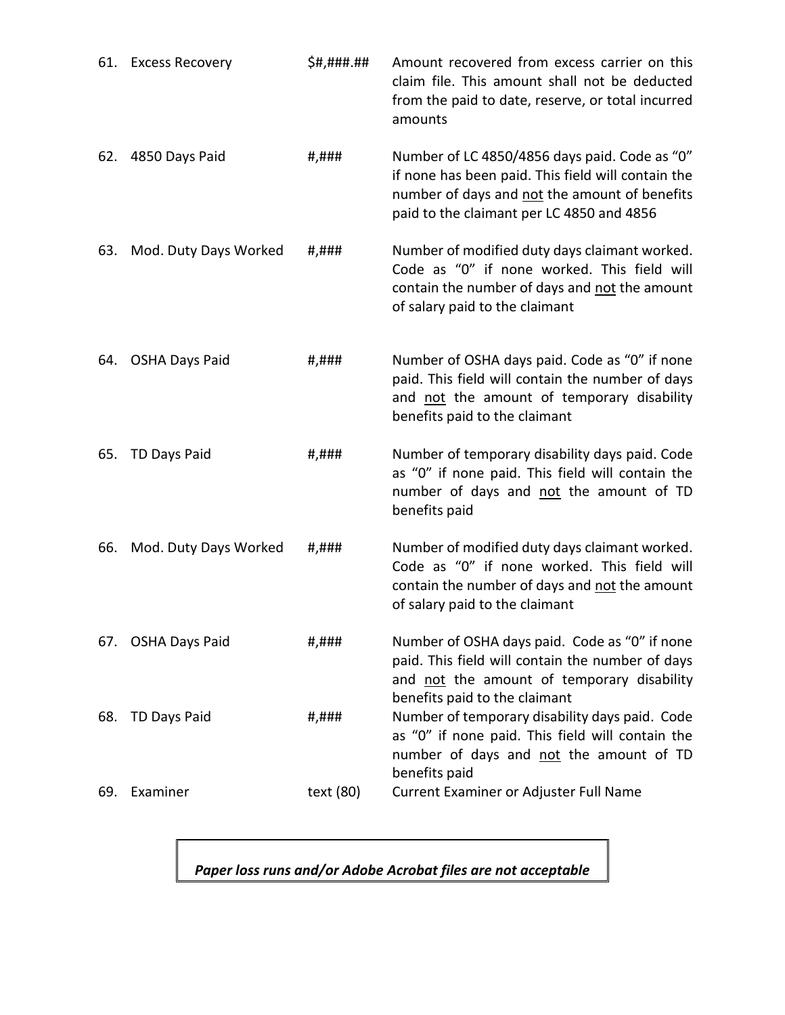|     | 61. Excess Recovery   | \$#,###.## | Amount recovered from excess carrier on this<br>claim file. This amount shall not be deducted<br>from the paid to date, reserve, or total incurred<br>amounts                                     |
|-----|-----------------------|------------|---------------------------------------------------------------------------------------------------------------------------------------------------------------------------------------------------|
| 62. | 4850 Days Paid        | #,###      | Number of LC 4850/4856 days paid. Code as "0"<br>if none has been paid. This field will contain the<br>number of days and not the amount of benefits<br>paid to the claimant per LC 4850 and 4856 |
| 63. | Mod. Duty Days Worked | #,###      | Number of modified duty days claimant worked.<br>Code as "0" if none worked. This field will<br>contain the number of days and not the amount<br>of salary paid to the claimant                   |
| 64. | <b>OSHA Days Paid</b> | #,###      | Number of OSHA days paid. Code as "0" if none<br>paid. This field will contain the number of days<br>and not the amount of temporary disability<br>benefits paid to the claimant                  |
| 65. | <b>TD Days Paid</b>   | #,###      | Number of temporary disability days paid. Code<br>as "0" if none paid. This field will contain the<br>number of days and not the amount of TD<br>benefits paid                                    |
| 66. | Mod. Duty Days Worked | #,###      | Number of modified duty days claimant worked.<br>Code as "0" if none worked. This field will<br>contain the number of days and not the amount<br>of salary paid to the claimant                   |
|     | 67. OSHA Days Paid    | #,###      | Number of OSHA days paid. Code as "0" if none<br>paid. This field will contain the number of days<br>and not the amount of temporary disability<br>benefits paid to the claimant                  |
| 68. | <b>TD Days Paid</b>   | #,###      | Number of temporary disability days paid. Code<br>as "0" if none paid. This field will contain the<br>number of days and not the amount of TD<br>benefits paid                                    |
| 69. | Examiner              | text (80)  | Current Examiner or Adjuster Full Name                                                                                                                                                            |

*Paper loss runs and/or Adobe Acrobat files are not acceptable*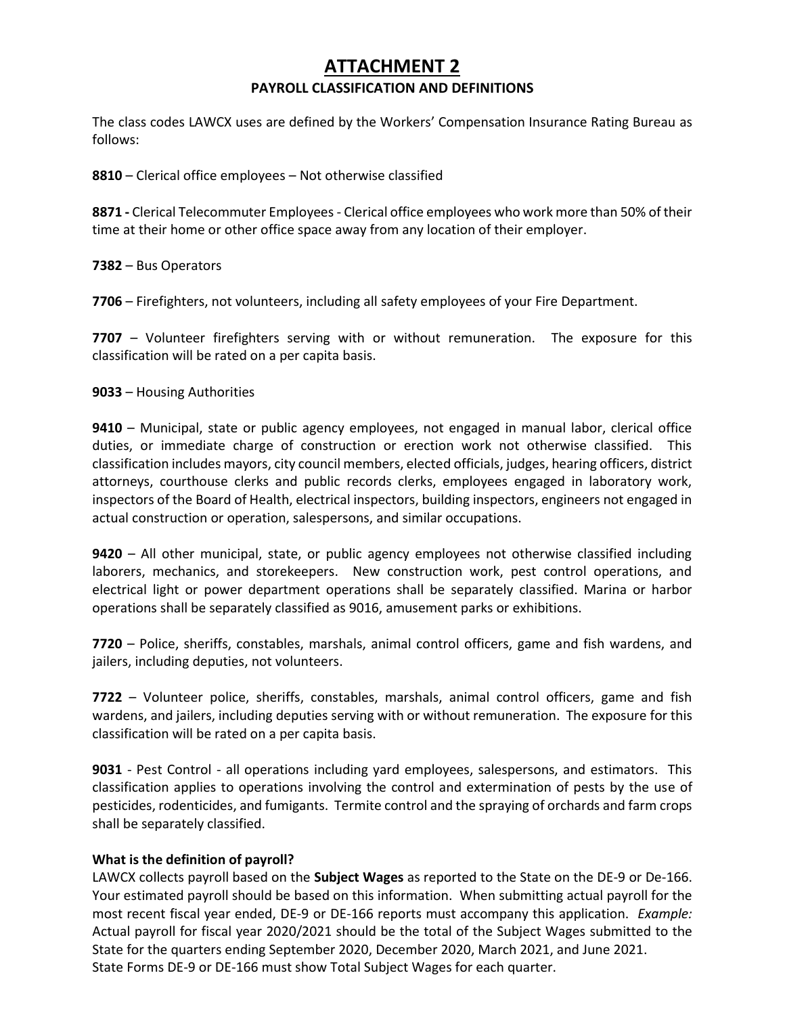# **ATTACHMENT 2 PAYROLL CLASSIFICATION AND DEFINITIONS**

The class codes LAWCX uses are defined by the Workers' Compensation Insurance Rating Bureau as follows:

**8810** – Clerical office employees – Not otherwise classified

**8871 -** Clerical Telecommuter Employees - Clerical office employees who work more than 50% of their time at their home or other office space away from any location of their employer.

**7382** – Bus Operators

**7706** – Firefighters, not volunteers, including all safety employees of your Fire Department.

**7707** – Volunteer firefighters serving with or without remuneration. The exposure for this classification will be rated on a per capita basis.

**9033** – Housing Authorities

**9410** – Municipal, state or public agency employees, not engaged in manual labor, clerical office duties, or immediate charge of construction or erection work not otherwise classified. This classification includes mayors, city council members, elected officials, judges, hearing officers, district attorneys, courthouse clerks and public records clerks, employees engaged in laboratory work, inspectors of the Board of Health, electrical inspectors, building inspectors, engineers not engaged in actual construction or operation, salespersons, and similar occupations.

**9420** – All other municipal, state, or public agency employees not otherwise classified including laborers, mechanics, and storekeepers. New construction work, pest control operations, and electrical light or power department operations shall be separately classified. Marina or harbor operations shall be separately classified as 9016, amusement parks or exhibitions.

**7720** – Police, sheriffs, constables, marshals, animal control officers, game and fish wardens, and jailers, including deputies, not volunteers.

**7722** – Volunteer police, sheriffs, constables, marshals, animal control officers, game and fish wardens, and jailers, including deputies serving with or without remuneration. The exposure for this classification will be rated on a per capita basis.

**9031** - Pest Control - all operations including yard employees, salespersons, and estimators. This classification applies to operations involving the control and extermination of pests by the use of pesticides, rodenticides, and fumigants. Termite control and the spraying of orchards and farm crops shall be separately classified.

### **What is the definition of payroll?**

LAWCX collects payroll based on the **Subject Wages** as reported to the State on the DE-9 or De-166. Your estimated payroll should be based on this information. When submitting actual payroll for the most recent fiscal year ended, DE-9 or DE-166 reports must accompany this application. *Example:* Actual payroll for fiscal year 2020/2021 should be the total of the Subject Wages submitted to the State for the quarters ending September 2020, December 2020, March 2021, and June 2021. State Forms DE-9 or DE-166 must show Total Subject Wages for each quarter.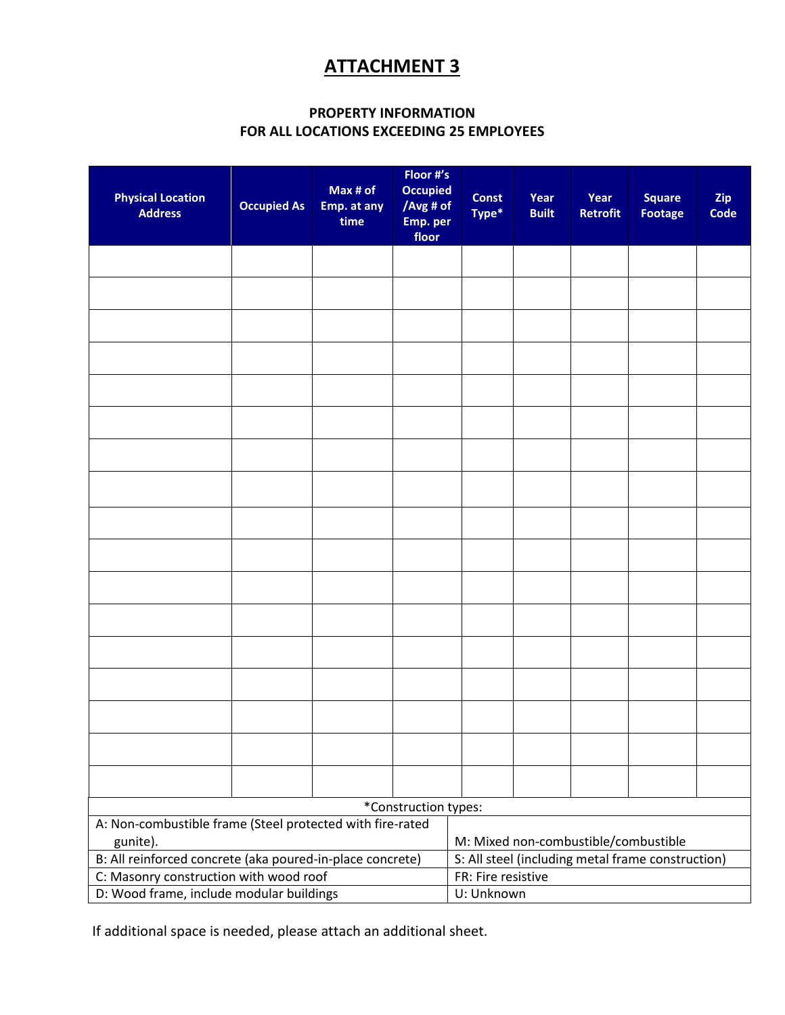# **ATTACHMENT 3**

# **PROPERTY INFORMATION FOR ALL LOCATIONS EXCEEDING 25 EMPLOYEES**

| <b>Physical Location</b><br><b>Address</b>                            | <b>Occupied As</b> | Max # of<br>Emp. at any<br>time | Floor #'s<br><b>Occupied</b><br>floor                                                                                                                                          | <b>Const</b><br>Type* | Year<br><b>Built</b> | Year<br><b>Retrofit</b> | <b>Square</b><br><b>Footage</b> | Zip<br>Code |
|-----------------------------------------------------------------------|--------------------|---------------------------------|--------------------------------------------------------------------------------------------------------------------------------------------------------------------------------|-----------------------|----------------------|-------------------------|---------------------------------|-------------|
|                                                                       |                    |                                 |                                                                                                                                                                                |                       |                      |                         |                                 |             |
|                                                                       |                    |                                 |                                                                                                                                                                                |                       |                      |                         |                                 |             |
|                                                                       |                    |                                 |                                                                                                                                                                                |                       |                      |                         |                                 |             |
|                                                                       |                    |                                 |                                                                                                                                                                                |                       |                      |                         |                                 |             |
|                                                                       |                    |                                 |                                                                                                                                                                                |                       |                      |                         |                                 |             |
|                                                                       |                    |                                 |                                                                                                                                                                                |                       |                      |                         |                                 |             |
|                                                                       |                    |                                 |                                                                                                                                                                                |                       |                      |                         |                                 |             |
|                                                                       |                    |                                 |                                                                                                                                                                                |                       |                      |                         |                                 |             |
|                                                                       |                    |                                 |                                                                                                                                                                                |                       |                      |                         |                                 |             |
|                                                                       |                    |                                 |                                                                                                                                                                                |                       |                      |                         |                                 |             |
|                                                                       |                    |                                 |                                                                                                                                                                                |                       |                      |                         |                                 |             |
|                                                                       |                    |                                 |                                                                                                                                                                                |                       |                      |                         |                                 |             |
|                                                                       |                    |                                 |                                                                                                                                                                                |                       |                      |                         |                                 |             |
|                                                                       |                    |                                 |                                                                                                                                                                                |                       |                      |                         |                                 |             |
|                                                                       |                    |                                 |                                                                                                                                                                                |                       |                      |                         |                                 |             |
|                                                                       |                    |                                 |                                                                                                                                                                                |                       |                      |                         |                                 |             |
|                                                                       |                    |                                 |                                                                                                                                                                                |                       |                      |                         |                                 |             |
|                                                                       |                    |                                 | /Avg # of<br>Emp. per<br>*Construction types:<br>M: Mixed non-combustible/combustible<br>S: All steel (including metal frame construction)<br>FR: Fire resistive<br>U: Unknown |                       |                      |                         |                                 |             |
| A: Non-combustible frame (Steel protected with fire-rated<br>gunite). |                    |                                 |                                                                                                                                                                                |                       |                      |                         |                                 |             |
| B: All reinforced concrete (aka poured-in-place concrete)             |                    |                                 |                                                                                                                                                                                |                       |                      |                         |                                 |             |
| C: Masonry construction with wood roof                                |                    |                                 |                                                                                                                                                                                |                       |                      |                         |                                 |             |
| D: Wood frame, include modular buildings                              |                    |                                 |                                                                                                                                                                                |                       |                      |                         |                                 |             |

If additional space is needed, please attach an additional sheet.